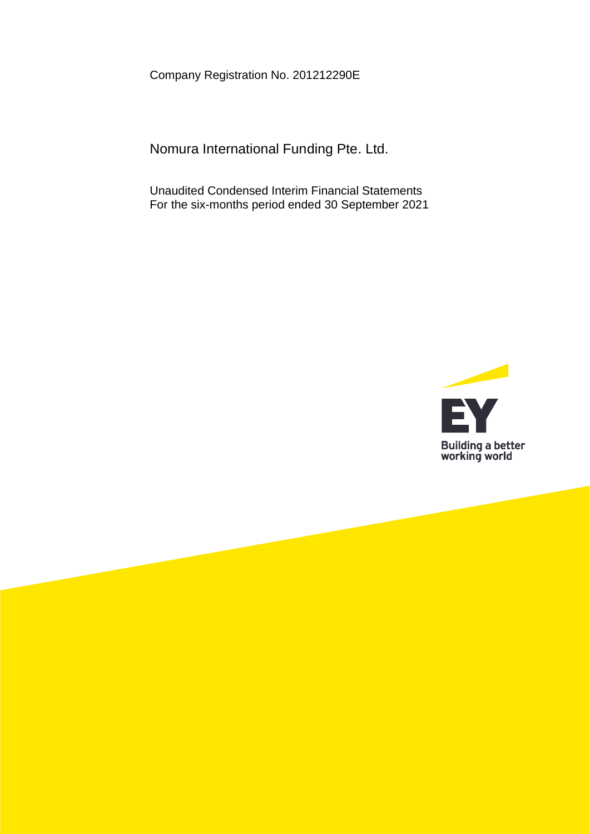Company Registration No. 201212290E

Nomura International Funding Pte. Ltd.

Unaudited Condensed Interim Financial Statements For the six-months period ended 30 September 2021

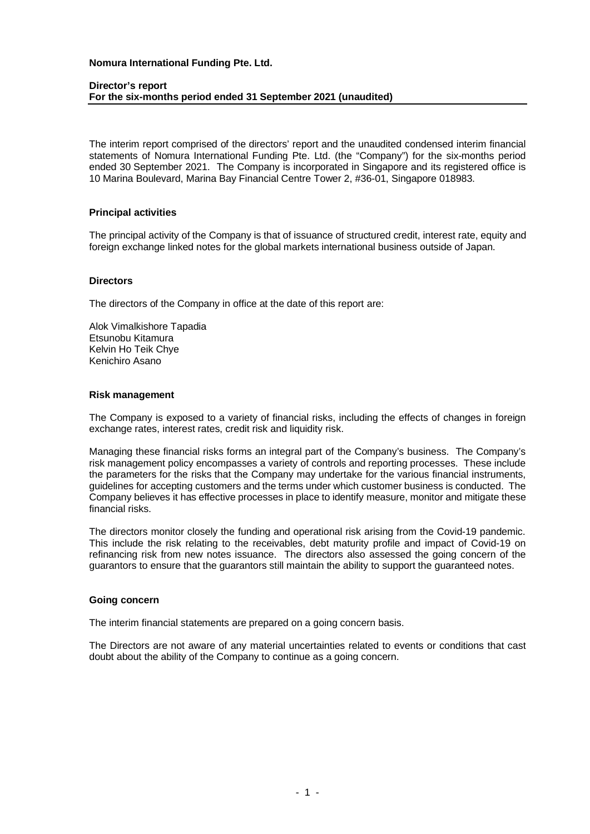#### **Director's report For the six-months period ended 31 September 2021 (unaudited)**

The interim report comprised of the directors' report and the unaudited condensed interim financial statements of Nomura International Funding Pte. Ltd. (the "Company") for the six-months period ended 30 September 2021. The Company is incorporated in Singapore and its registered office is 10 Marina Boulevard, Marina Bay Financial Centre Tower 2, #36-01, Singapore 018983.

#### **Principal activities**

The principal activity of the Company is that of issuance of structured credit, interest rate, equity and foreign exchange linked notes for the global markets international business outside of Japan.

### **Directors**

The directors of the Company in office at the date of this report are:

Alok Vimalkishore Tapadia Etsunobu Kitamura Kelvin Ho Teik Chye Kenichiro Asano

# **Risk management**

The Company is exposed to a variety of financial risks, including the effects of changes in foreign exchange rates, interest rates, credit risk and liquidity risk.

Managing these financial risks forms an integral part of the Company's business. The Company's risk management policy encompasses a variety of controls and reporting processes. These include the parameters for the risks that the Company may undertake for the various financial instruments, guidelines for accepting customers and the terms under which customer business is conducted. The Company believes it has effective processes in place to identify measure, monitor and mitigate these financial risks.

The directors monitor closely the funding and operational risk arising from the Covid-19 pandemic. This include the risk relating to the receivables, debt maturity profile and impact of Covid-19 on refinancing risk from new notes issuance. The directors also assessed the going concern of the guarantors to ensure that the guarantors still maintain the ability to support the guaranteed notes.

#### **Going concern**

The interim financial statements are prepared on a going concern basis.

The Directors are not aware of any material uncertainties related to events or conditions that cast doubt about the ability of the Company to continue as a going concern.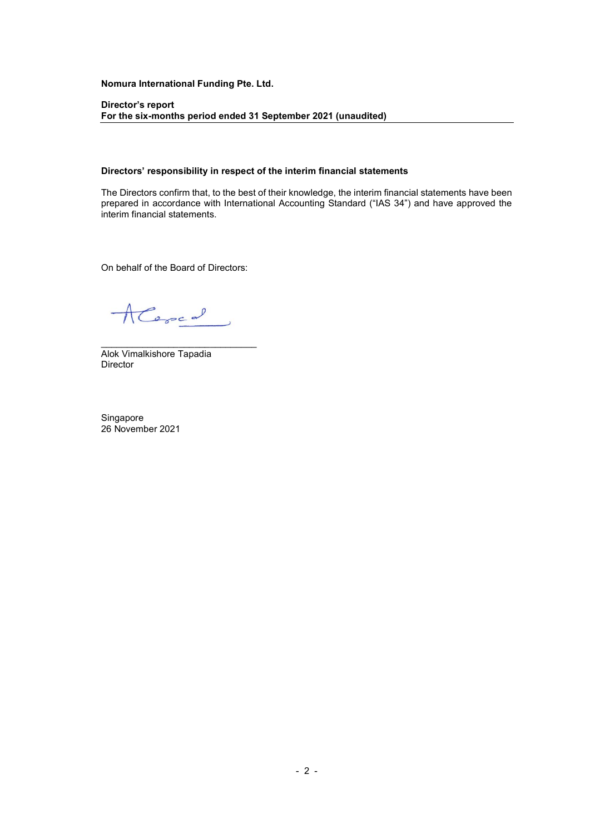Director's report For the six-months period ended 31 September 2021 (unaudited)

#### Directors' responsibility in respect of the interim financial statements

The Directors confirm that, to the best of their knowledge, the interim financial statements have been prepared in accordance with International Accounting Standard ("IAS 34") and have approved the interim financial statements.

On behalf of the Board of Directors:

Alered

\_\_\_\_\_\_\_\_\_\_\_\_\_\_\_\_\_\_\_\_\_\_\_\_\_\_\_\_\_\_

Alok Vimalkishore Tapadia **Director** 

Singapore 26 November 2021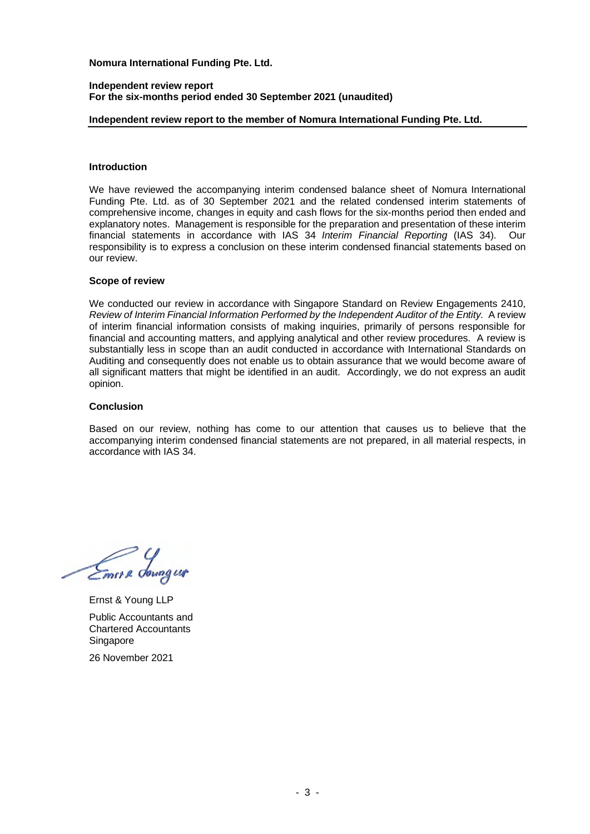#### **Independent review report For the six-months period ended 30 September 2021 (unaudited)**

### **Independent review report to the member of Nomura International Funding Pte. Ltd.**

#### **Introduction**

We have reviewed the accompanying interim condensed balance sheet of Nomura International Funding Pte. Ltd. as of 30 September 2021 and the related condensed interim statements of comprehensive income, changes in equity and cash flows for the six-months period then ended and explanatory notes. Management is responsible for the preparation and presentation of these interim financial statements in accordance with IAS 34 *Interim Financial Reporting* (IAS 34). Our responsibility is to express a conclusion on these interim condensed financial statements based on our review.

#### **Scope of review**

We conducted our review in accordance with Singapore Standard on Review Engagements 2410, *Review of Interim Financial Information Performed by the Independent Auditor of the Entity.* A review of interim financial information consists of making inquiries, primarily of persons responsible for financial and accounting matters, and applying analytical and other review procedures. A review is substantially less in scope than an audit conducted in accordance with International Standards on Auditing and consequently does not enable us to obtain assurance that we would become aware of all significant matters that might be identified in an audit. Accordingly, we do not express an audit opinion.

#### **Conclusion**

Based on our review, nothing has come to our attention that causes us to believe that the accompanying interim condensed financial statements are not prepared, in all material respects, in accordance with IAS 34.

Emer & downg us

Ernst & Young LLP Public Accountants and Chartered Accountants Singapore

26 November 2021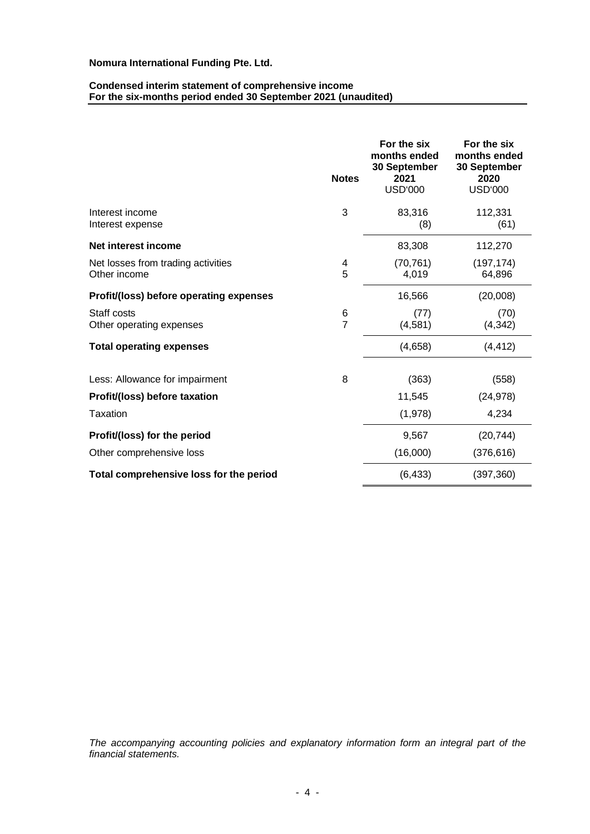#### **Condensed interim statement of comprehensive income For the six-months period ended 30 September 2021 (unaudited)**

|                                                    | <b>Notes</b>        | For the six<br>months ended<br>30 September<br>2021<br><b>USD'000</b> | For the six<br>months ended<br>30 September<br>2020<br><b>USD'000</b> |
|----------------------------------------------------|---------------------|-----------------------------------------------------------------------|-----------------------------------------------------------------------|
| Interest income<br>Interest expense                | 3                   | 83,316<br>(8)                                                         | 112,331<br>(61)                                                       |
| Net interest income                                |                     | 83,308                                                                | 112,270                                                               |
| Net losses from trading activities<br>Other income | 4<br>5              | (70, 761)<br>4,019                                                    | (197, 174)<br>64,896                                                  |
| Profit/(loss) before operating expenses            |                     | 16,566                                                                | (20,008)                                                              |
| Staff costs<br>Other operating expenses            | 6<br>$\overline{7}$ | (77)<br>(4,581)                                                       | (70)<br>(4, 342)                                                      |
| <b>Total operating expenses</b>                    |                     | (4,658)                                                               | (4, 412)                                                              |
| Less: Allowance for impairment                     | 8                   | (363)                                                                 | (558)                                                                 |
| Profit/(loss) before taxation                      |                     | 11,545                                                                | (24, 978)                                                             |
| Taxation                                           |                     | (1,978)                                                               | 4,234                                                                 |
| Profit/(loss) for the period                       |                     | 9,567                                                                 | (20, 744)                                                             |
| Other comprehensive loss                           |                     | (16,000)                                                              | (376, 616)                                                            |
| Total comprehensive loss for the period            |                     | (6, 433)                                                              | (397, 360)                                                            |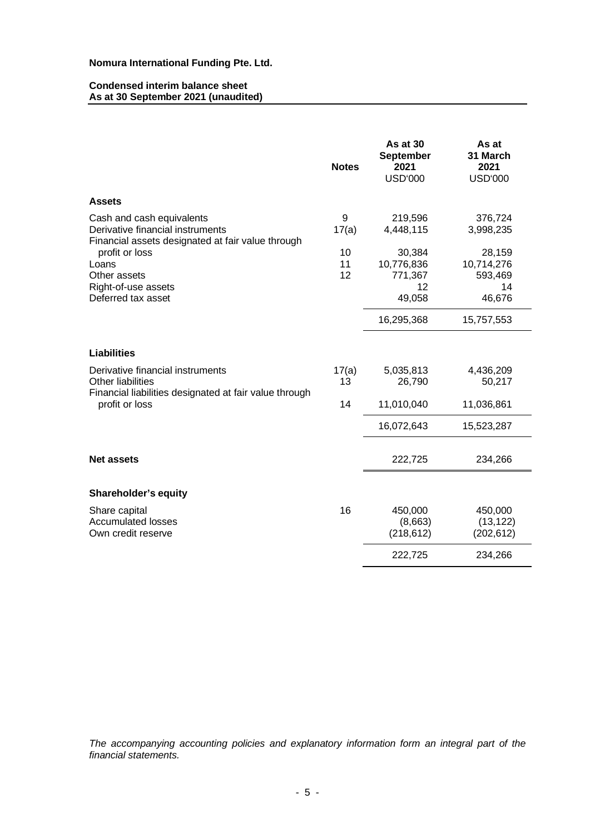#### **Condensed interim balance sheet As at 30 September 2021 (unaudited)**

|                                                                                                                    | <b>Notes</b>   | As at $30$<br><b>September</b><br>2021<br><b>USD'000</b> | As at<br>31 March<br>2021<br><b>USD'000</b>     |
|--------------------------------------------------------------------------------------------------------------------|----------------|----------------------------------------------------------|-------------------------------------------------|
| <b>Assets</b>                                                                                                      |                |                                                          |                                                 |
| Cash and cash equivalents<br>Derivative financial instruments<br>Financial assets designated at fair value through | 9<br>17(a)     | 219,596<br>4,448,115                                     | 376,724<br>3,998,235                            |
| profit or loss<br>Loans<br>Other assets<br>Right-of-use assets<br>Deferred tax asset                               | 10<br>11<br>12 | 30,384<br>10,776,836<br>771,367<br>12<br>49,058          | 28,159<br>10,714,276<br>593,469<br>14<br>46,676 |
|                                                                                                                    |                | 16,295,368                                               | 15,757,553                                      |
| <b>Liabilities</b>                                                                                                 |                |                                                          |                                                 |
| Derivative financial instruments<br>Other liabilities                                                              | 17(a)<br>13    | 5,035,813<br>26,790                                      | 4,436,209<br>50,217                             |
| Financial liabilities designated at fair value through<br>profit or loss                                           | 14             | 11,010,040                                               | 11,036,861                                      |
|                                                                                                                    |                | 16,072,643                                               | 15,523,287                                      |
| <b>Net assets</b>                                                                                                  |                | 222,725                                                  | 234,266                                         |
| Shareholder's equity                                                                                               |                |                                                          |                                                 |
| Share capital<br><b>Accumulated losses</b><br>Own credit reserve                                                   | 16             | 450,000<br>(8,663)<br>(218, 612)                         | 450,000<br>(13, 122)<br>(202, 612)              |
|                                                                                                                    |                | 222,725                                                  | 234,266                                         |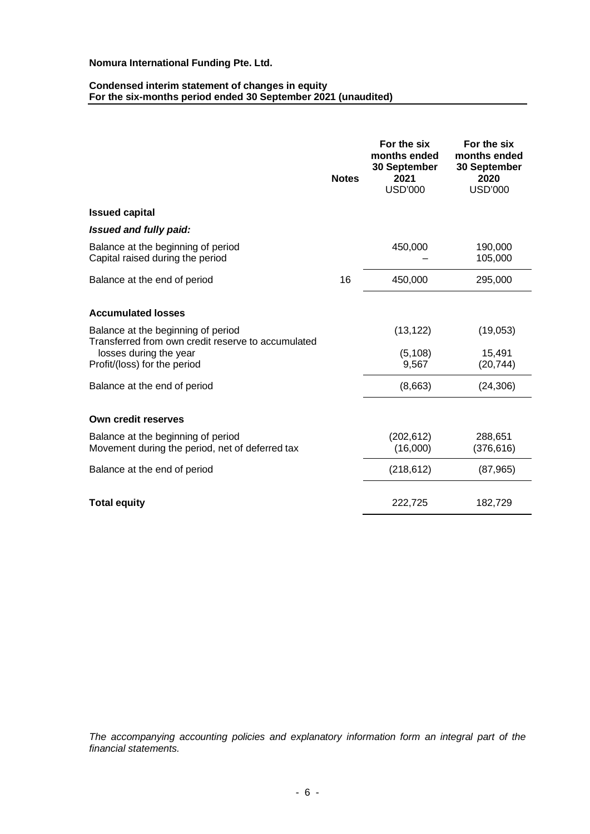#### **Condensed interim statement of changes in equity For the six-months period ended 30 September 2021 (unaudited)**

|                                                                                                                    | <b>Notes</b> | For the six<br>months ended<br>30 September<br>2021<br><b>USD'000</b> | For the six<br>months ended<br>30 September<br>2020<br><b>USD'000</b> |
|--------------------------------------------------------------------------------------------------------------------|--------------|-----------------------------------------------------------------------|-----------------------------------------------------------------------|
| <b>Issued capital</b>                                                                                              |              |                                                                       |                                                                       |
| Issued and fully paid:                                                                                             |              |                                                                       |                                                                       |
| Balance at the beginning of period<br>Capital raised during the period                                             |              | 450,000                                                               | 190,000<br>105,000                                                    |
| Balance at the end of period                                                                                       | 16           | 450,000                                                               | 295,000                                                               |
| <b>Accumulated losses</b>                                                                                          |              |                                                                       |                                                                       |
| Balance at the beginning of period<br>Transferred from own credit reserve to accumulated<br>losses during the year |              | (13, 122)<br>(5, 108)                                                 | (19,053)<br>15,491                                                    |
| Profit/(loss) for the period                                                                                       |              | 9,567                                                                 | (20, 744)                                                             |
| Balance at the end of period                                                                                       |              | (8,663)                                                               | (24, 306)                                                             |
| Own credit reserves                                                                                                |              |                                                                       |                                                                       |
| Balance at the beginning of period<br>Movement during the period, net of deferred tax                              |              | (202, 612)<br>(16,000)                                                | 288,651<br>(376, 616)                                                 |
| Balance at the end of period                                                                                       |              | (218, 612)                                                            | (87, 965)                                                             |
| <b>Total equity</b>                                                                                                |              | 222,725                                                               | 182,729                                                               |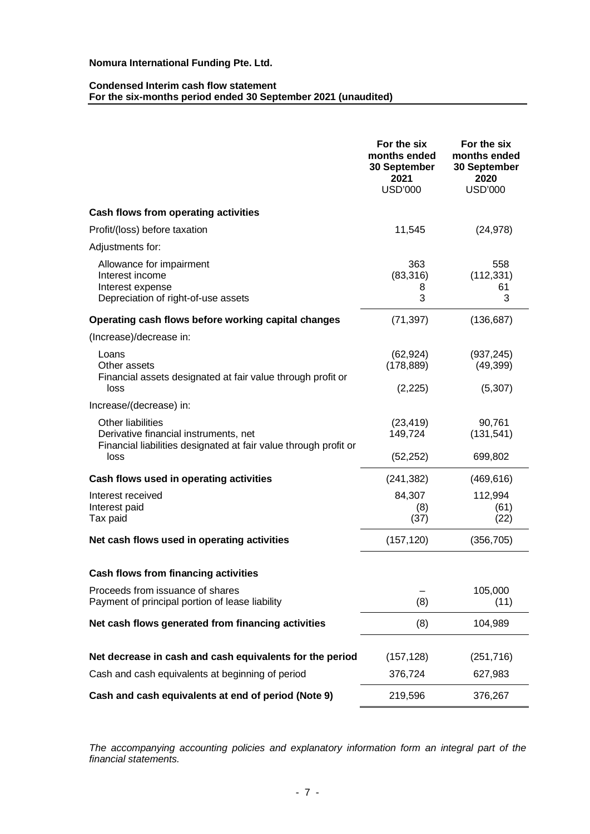#### **Condensed Interim cash flow statement For the six-months period ended 30 September 2021 (unaudited)**

|                                                                                                                                        | For the six<br>months ended<br>30 September<br>2021<br><b>USD'000</b> | For the six<br>months ended<br>30 September<br>2020<br><b>USD'000</b> |
|----------------------------------------------------------------------------------------------------------------------------------------|-----------------------------------------------------------------------|-----------------------------------------------------------------------|
| Cash flows from operating activities                                                                                                   |                                                                       |                                                                       |
| Profit/(loss) before taxation                                                                                                          | 11,545                                                                | (24, 978)                                                             |
| Adjustments for:                                                                                                                       |                                                                       |                                                                       |
| Allowance for impairment<br>Interest income<br>Interest expense<br>Depreciation of right-of-use assets                                 | 363<br>(83, 316)<br>8<br>3                                            | 558<br>(112, 331)<br>61<br>3                                          |
| Operating cash flows before working capital changes                                                                                    | (71, 397)                                                             | (136, 687)                                                            |
| (Increase)/decrease in:                                                                                                                |                                                                       |                                                                       |
| Loans<br>Other assets<br>Financial assets designated at fair value through profit or                                                   | (62, 924)<br>(178, 889)                                               | (937, 245)<br>(49, 399)                                               |
| loss                                                                                                                                   | (2,225)                                                               | (5, 307)                                                              |
| Increase/(decrease) in:                                                                                                                |                                                                       |                                                                       |
| Other liabilities<br>Derivative financial instruments, net<br>Financial liabilities designated at fair value through profit or<br>loss | (23, 419)<br>149,724<br>(52, 252)                                     | 90,761<br>(131, 541)<br>699,802                                       |
| Cash flows used in operating activities                                                                                                | (241, 382)                                                            | (469, 616)                                                            |
| Interest received<br>Interest paid<br>Tax paid                                                                                         | 84,307<br>(8)<br>(37)                                                 | 112,994<br>(61)<br>(22)                                               |
| Net cash flows used in operating activities                                                                                            | (157, 120)                                                            | (356, 705)                                                            |
| <b>Cash flows from financing activities</b>                                                                                            |                                                                       |                                                                       |
| Proceeds from issuance of shares<br>Payment of principal portion of lease liability                                                    | (8)                                                                   | 105,000<br>(11)                                                       |
| Net cash flows generated from financing activities                                                                                     | (8)                                                                   | 104,989                                                               |
| Net decrease in cash and cash equivalents for the period                                                                               | (157, 128)                                                            | (251, 716)                                                            |
| Cash and cash equivalents at beginning of period                                                                                       | 376,724                                                               | 627,983                                                               |
| Cash and cash equivalents at end of period (Note 9)                                                                                    | 219,596                                                               | 376,267                                                               |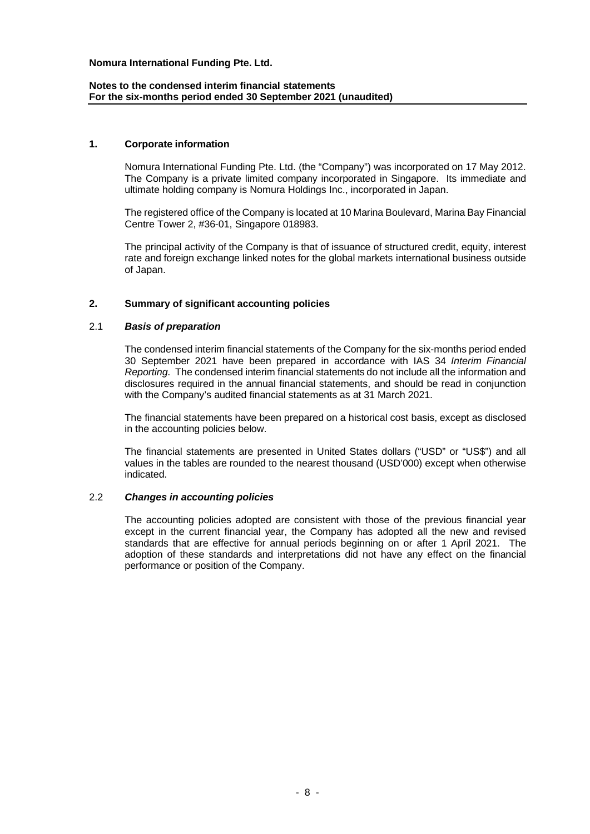### **Notes to the condensed interim financial statements For the six-months period ended 30 September 2021 (unaudited)**

#### **1. Corporate information**

Nomura International Funding Pte. Ltd. (the "Company") was incorporated on 17 May 2012. The Company is a private limited company incorporated in Singapore. Its immediate and ultimate holding company is Nomura Holdings Inc., incorporated in Japan.

The registered office of the Company is located at 10 Marina Boulevard, Marina Bay Financial Centre Tower 2, #36-01, Singapore 018983.

The principal activity of the Company is that of issuance of structured credit, equity, interest rate and foreign exchange linked notes for the global markets international business outside of Japan.

### **2. Summary of significant accounting policies**

#### 2.1 *Basis of preparation*

The condensed interim financial statements of the Company for the six-months period ended 30 September 2021 have been prepared in accordance with IAS 34 *Interim Financial Reporting*. The condensed interim financial statements do not include all the information and disclosures required in the annual financial statements, and should be read in conjunction with the Company's audited financial statements as at 31 March 2021.

The financial statements have been prepared on a historical cost basis, except as disclosed in the accounting policies below.

The financial statements are presented in United States dollars ("USD" or "US\$") and all values in the tables are rounded to the nearest thousand (USD'000) except when otherwise indicated.

#### 2.2 *Changes in accounting policies*

The accounting policies adopted are consistent with those of the previous financial year except in the current financial year, the Company has adopted all the new and revised standards that are effective for annual periods beginning on or after 1 April 2021. The adoption of these standards and interpretations did not have any effect on the financial performance or position of the Company.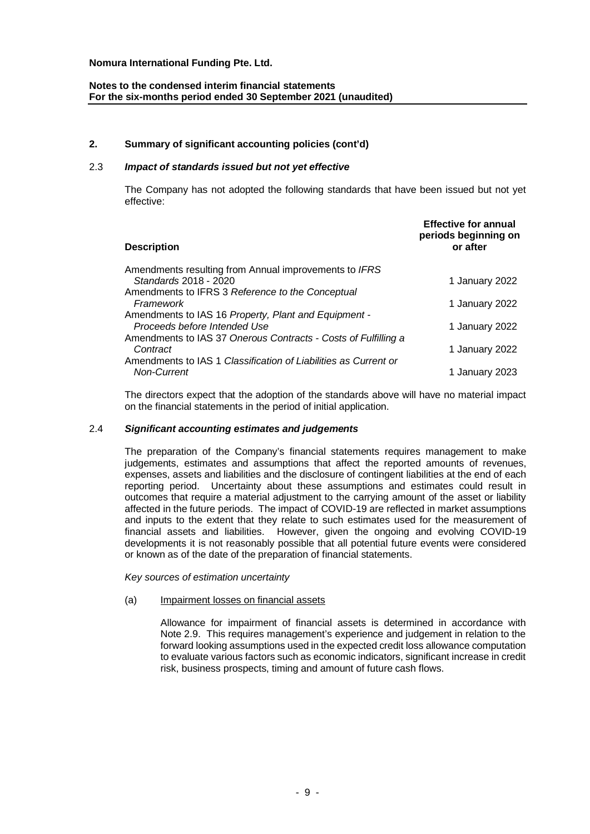### **Notes to the condensed interim financial statements For the six-months period ended 30 September 2021 (unaudited)**

### **2. Summary of significant accounting policies (cont'd)**

### 2.3 *Impact of standards issued but not yet effective*

The Company has not adopted the following standards that have been issued but not yet effective:

| <b>Description</b>                                              | <b>Effective for annual</b><br>periods beginning on<br>or after |
|-----------------------------------------------------------------|-----------------------------------------------------------------|
| Amendments resulting from Annual improvements to IFRS           |                                                                 |
| Standards 2018 - 2020                                           | 1 January 2022                                                  |
| Amendments to IFRS 3 Reference to the Conceptual                |                                                                 |
| Framework                                                       | 1 January 2022                                                  |
| Amendments to IAS 16 Property, Plant and Equipment -            |                                                                 |
| Proceeds before Intended Use                                    | 1 January 2022                                                  |
| Amendments to IAS 37 Onerous Contracts - Costs of Fulfilling a  |                                                                 |
| Contract                                                        | 1 January 2022                                                  |
| Amendments to IAS 1 Classification of Liabilities as Current or |                                                                 |
| <b>Non-Current</b>                                              | 1 January 2023                                                  |
|                                                                 |                                                                 |

The directors expect that the adoption of the standards above will have no material impact on the financial statements in the period of initial application.

### 2.4 *Significant accounting estimates and judgements*

The preparation of the Company's financial statements requires management to make judgements, estimates and assumptions that affect the reported amounts of revenues, expenses, assets and liabilities and the disclosure of contingent liabilities at the end of each reporting period. Uncertainty about these assumptions and estimates could result in outcomes that require a material adjustment to the carrying amount of the asset or liability affected in the future periods. The impact of COVID-19 are reflected in market assumptions and inputs to the extent that they relate to such estimates used for the measurement of financial assets and liabilities. However, given the ongoing and evolving COVID-19 developments it is not reasonably possible that all potential future events were considered or known as of the date of the preparation of financial statements.

*Key sources of estimation uncertainty*

#### (a) Impairment losses on financial assets

Allowance for impairment of financial assets is determined in accordance with Note 2.9. This requires management's experience and judgement in relation to the forward looking assumptions used in the expected credit loss allowance computation to evaluate various factors such as economic indicators, significant increase in credit risk, business prospects, timing and amount of future cash flows.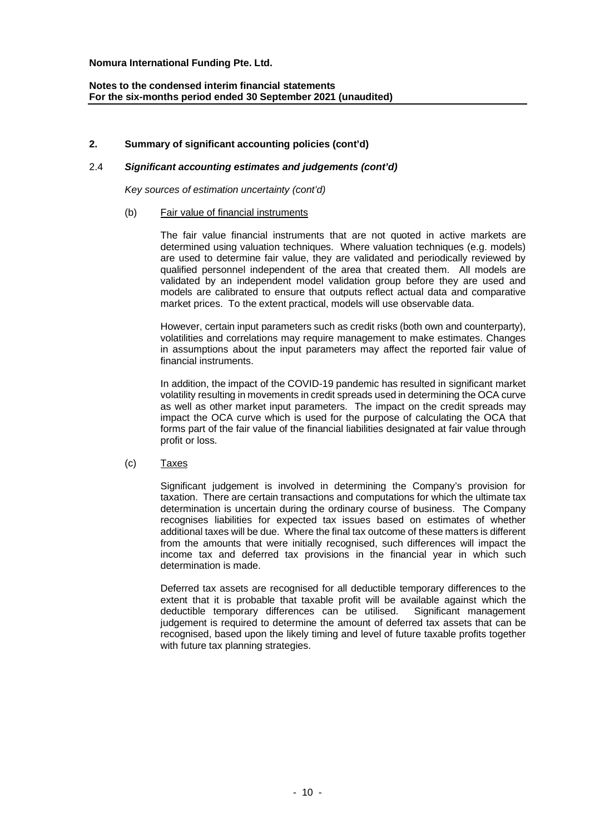### **2. Summary of significant accounting policies (cont'd)**

#### 2.4 *Significant accounting estimates and judgements (cont'd)*

*Key sources of estimation uncertainty (cont'd)*

#### (b) Fair value of financial instruments

The fair value financial instruments that are not quoted in active markets are determined using valuation techniques. Where valuation techniques (e.g. models) are used to determine fair value, they are validated and periodically reviewed by qualified personnel independent of the area that created them. All models are validated by an independent model validation group before they are used and models are calibrated to ensure that outputs reflect actual data and comparative market prices. To the extent practical, models will use observable data.

However, certain input parameters such as credit risks (both own and counterparty), volatilities and correlations may require management to make estimates. Changes in assumptions about the input parameters may affect the reported fair value of financial instruments.

In addition, the impact of the COVID-19 pandemic has resulted in significant market volatility resulting in movements in credit spreads used in determining the OCA curve as well as other market input parameters. The impact on the credit spreads may impact the OCA curve which is used for the purpose of calculating the OCA that forms part of the fair value of the financial liabilities designated at fair value through profit or loss.

#### (c) Taxes

Significant judgement is involved in determining the Company's provision for taxation. There are certain transactions and computations for which the ultimate tax determination is uncertain during the ordinary course of business. The Company recognises liabilities for expected tax issues based on estimates of whether additional taxes will be due. Where the final tax outcome of these matters is different from the amounts that were initially recognised, such differences will impact the income tax and deferred tax provisions in the financial year in which such determination is made.

Deferred tax assets are recognised for all deductible temporary differences to the extent that it is probable that taxable profit will be available against which the deductible temporary differences can be utilised. Significant management judgement is required to determine the amount of deferred tax assets that can be recognised, based upon the likely timing and level of future taxable profits together with future tax planning strategies.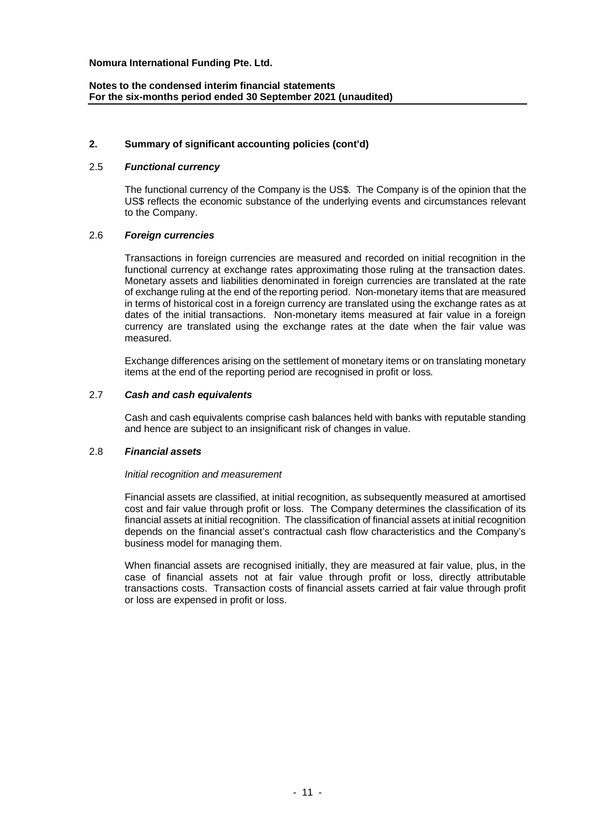### **2. Summary of significant accounting policies (cont'd)**

### 2.5 *Functional currency*

The functional currency of the Company is the US\$. The Company is of the opinion that the US\$ reflects the economic substance of the underlying events and circumstances relevant to the Company.

### 2.6 *Foreign currencies*

Transactions in foreign currencies are measured and recorded on initial recognition in the functional currency at exchange rates approximating those ruling at the transaction dates. Monetary assets and liabilities denominated in foreign currencies are translated at the rate of exchange ruling at the end of the reporting period. Non-monetary items that are measured in terms of historical cost in a foreign currency are translated using the exchange rates as at dates of the initial transactions. Non-monetary items measured at fair value in a foreign currency are translated using the exchange rates at the date when the fair value was measured.

Exchange differences arising on the settlement of monetary items or on translating monetary items at the end of the reporting period are recognised in profit or loss.

### 2.7 *Cash and cash equivalents*

Cash and cash equivalents comprise cash balances held with banks with reputable standing and hence are subject to an insignificant risk of changes in value.

#### 2.8 *Financial assets*

#### *Initial recognition and measurement*

Financial assets are classified, at initial recognition, as subsequently measured at amortised cost and fair value through profit or loss. The Company determines the classification of its financial assets at initial recognition. The classification of financial assets at initial recognition depends on the financial asset's contractual cash flow characteristics and the Company's business model for managing them.

When financial assets are recognised initially, they are measured at fair value, plus, in the case of financial assets not at fair value through profit or loss, directly attributable transactions costs. Transaction costs of financial assets carried at fair value through profit or loss are expensed in profit or loss.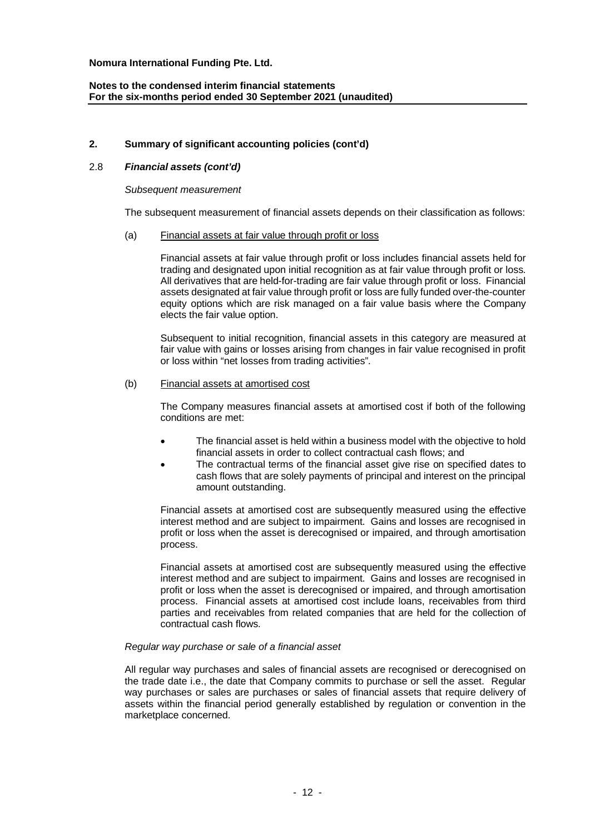# **2. Summary of significant accounting policies (cont'd)**

# 2.8 *Financial assets (cont'd)*

#### *Subsequent measurement*

The subsequent measurement of financial assets depends on their classification as follows:

#### (a) Financial assets at fair value through profit or loss

Financial assets at fair value through profit or loss includes financial assets held for trading and designated upon initial recognition as at fair value through profit or loss. All derivatives that are held-for-trading are fair value through profit or loss. Financial assets designated at fair value through profit or loss are fully funded over-the-counter equity options which are risk managed on a fair value basis where the Company elects the fair value option.

Subsequent to initial recognition, financial assets in this category are measured at fair value with gains or losses arising from changes in fair value recognised in profit or loss within "net losses from trading activities".

#### (b) Financial assets at amortised cost

The Company measures financial assets at amortised cost if both of the following conditions are met:

- The financial asset is held within a business model with the objective to hold financial assets in order to collect contractual cash flows; and
- The contractual terms of the financial asset give rise on specified dates to cash flows that are solely payments of principal and interest on the principal amount outstanding.

Financial assets at amortised cost are subsequently measured using the effective interest method and are subject to impairment. Gains and losses are recognised in profit or loss when the asset is derecognised or impaired, and through amortisation process.

Financial assets at amortised cost are subsequently measured using the effective interest method and are subject to impairment. Gains and losses are recognised in profit or loss when the asset is derecognised or impaired, and through amortisation process. Financial assets at amortised cost include loans, receivables from third parties and receivables from related companies that are held for the collection of contractual cash flows.

#### *Regular way purchase or sale of a financial asset*

All regular way purchases and sales of financial assets are recognised or derecognised on the trade date i.e., the date that Company commits to purchase or sell the asset. Regular way purchases or sales are purchases or sales of financial assets that require delivery of assets within the financial period generally established by regulation or convention in the marketplace concerned.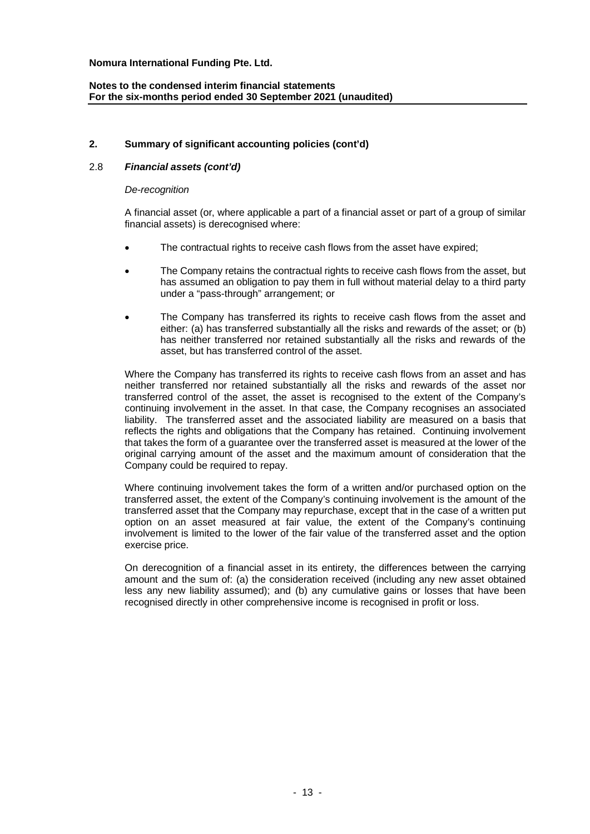# **2. Summary of significant accounting policies (cont'd)**

# 2.8 *Financial assets (cont'd)*

#### *De-recognition*

A financial asset (or, where applicable a part of a financial asset or part of a group of similar financial assets) is derecognised where:

- The contractual rights to receive cash flows from the asset have expired;
- The Company retains the contractual rights to receive cash flows from the asset, but has assumed an obligation to pay them in full without material delay to a third party under a "pass-through" arrangement; or
- The Company has transferred its rights to receive cash flows from the asset and either: (a) has transferred substantially all the risks and rewards of the asset; or (b) has neither transferred nor retained substantially all the risks and rewards of the asset, but has transferred control of the asset.

Where the Company has transferred its rights to receive cash flows from an asset and has neither transferred nor retained substantially all the risks and rewards of the asset nor transferred control of the asset, the asset is recognised to the extent of the Company's continuing involvement in the asset. In that case, the Company recognises an associated liability. The transferred asset and the associated liability are measured on a basis that reflects the rights and obligations that the Company has retained. Continuing involvement that takes the form of a guarantee over the transferred asset is measured at the lower of the original carrying amount of the asset and the maximum amount of consideration that the Company could be required to repay.

Where continuing involvement takes the form of a written and/or purchased option on the transferred asset, the extent of the Company's continuing involvement is the amount of the transferred asset that the Company may repurchase, except that in the case of a written put option on an asset measured at fair value, the extent of the Company's continuing involvement is limited to the lower of the fair value of the transferred asset and the option exercise price.

On derecognition of a financial asset in its entirety, the differences between the carrying amount and the sum of: (a) the consideration received (including any new asset obtained less any new liability assumed); and (b) any cumulative gains or losses that have been recognised directly in other comprehensive income is recognised in profit or loss.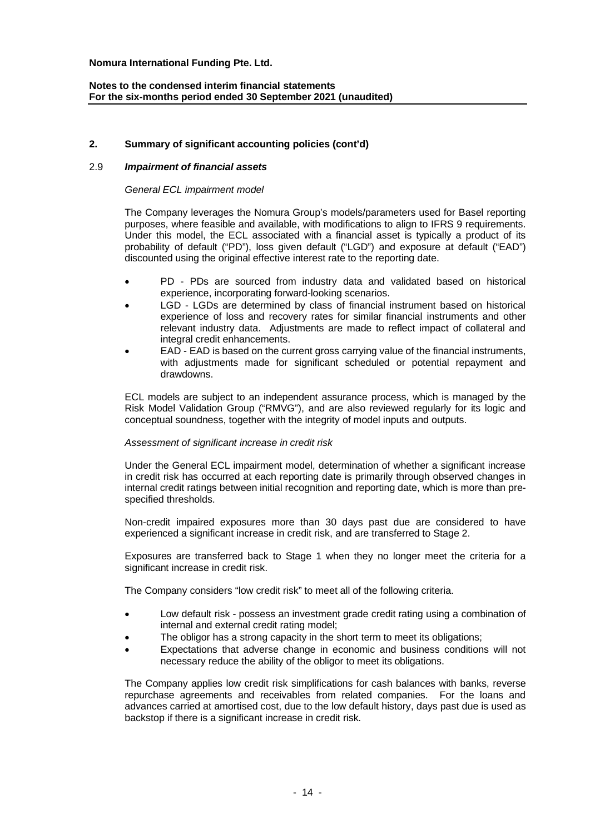### **Notes to the condensed interim financial statements For the six-months period ended 30 September 2021 (unaudited)**

### **2. Summary of significant accounting policies (cont'd)**

### 2.9 *Impairment of financial assets*

#### *General ECL impairment model*

The Company leverages the Nomura Group's models/parameters used for Basel reporting purposes, where feasible and available, with modifications to align to IFRS 9 requirements. Under this model, the ECL associated with a financial asset is typically a product of its probability of default ("PD"), loss given default ("LGD") and exposure at default ("EAD") discounted using the original effective interest rate to the reporting date.

- PD PDs are sourced from industry data and validated based on historical experience, incorporating forward-looking scenarios.
- LGD LGDs are determined by class of financial instrument based on historical experience of loss and recovery rates for similar financial instruments and other relevant industry data. Adjustments are made to reflect impact of collateral and integral credit enhancements.
- EAD EAD is based on the current gross carrying value of the financial instruments, with adjustments made for significant scheduled or potential repayment and drawdowns.

ECL models are subject to an independent assurance process, which is managed by the Risk Model Validation Group ("RMVG"), and are also reviewed regularly for its logic and conceptual soundness, together with the integrity of model inputs and outputs.

#### *Assessment of significant increase in credit risk*

Under the General ECL impairment model, determination of whether a significant increase in credit risk has occurred at each reporting date is primarily through observed changes in internal credit ratings between initial recognition and reporting date, which is more than prespecified thresholds.

Non-credit impaired exposures more than 30 days past due are considered to have experienced a significant increase in credit risk, and are transferred to Stage 2.

Exposures are transferred back to Stage 1 when they no longer meet the criteria for a significant increase in credit risk.

The Company considers "low credit risk" to meet all of the following criteria.

- Low default risk possess an investment grade credit rating using a combination of internal and external credit rating model;
- The obligor has a strong capacity in the short term to meet its obligations;
- Expectations that adverse change in economic and business conditions will not necessary reduce the ability of the obligor to meet its obligations.

The Company applies low credit risk simplifications for cash balances with banks, reverse repurchase agreements and receivables from related companies. For the loans and advances carried at amortised cost, due to the low default history, days past due is used as backstop if there is a significant increase in credit risk.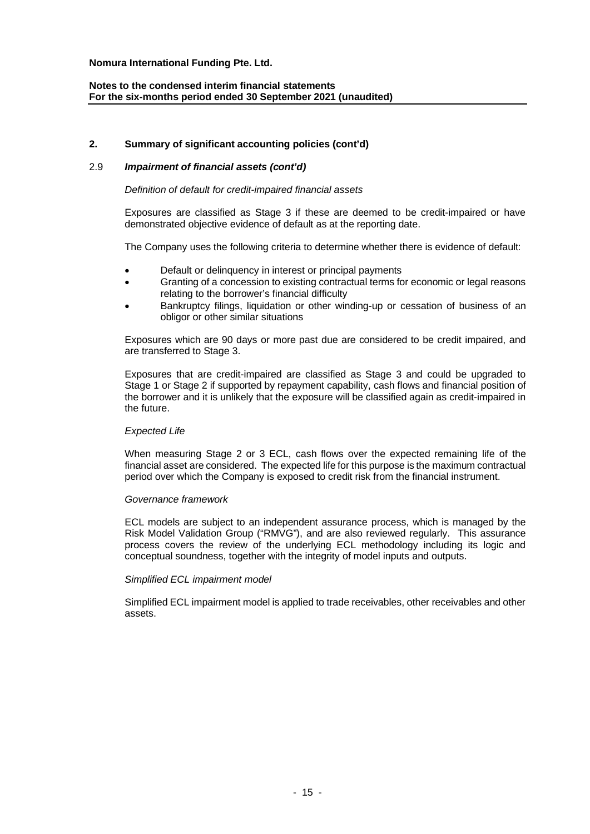### **Notes to the condensed interim financial statements For the six-months period ended 30 September 2021 (unaudited)**

### **2. Summary of significant accounting policies (cont'd)**

### 2.9 *Impairment of financial assets (cont'd)*

#### *Definition of default for credit-impaired financial assets*

Exposures are classified as Stage 3 if these are deemed to be credit-impaired or have demonstrated objective evidence of default as at the reporting date.

The Company uses the following criteria to determine whether there is evidence of default:

- Default or delinquency in interest or principal payments
- Granting of a concession to existing contractual terms for economic or legal reasons relating to the borrower's financial difficulty
- Bankruptcy filings, liquidation or other winding-up or cessation of business of an obligor or other similar situations

Exposures which are 90 days or more past due are considered to be credit impaired, and are transferred to Stage 3.

Exposures that are credit-impaired are classified as Stage 3 and could be upgraded to Stage 1 or Stage 2 if supported by repayment capability, cash flows and financial position of the borrower and it is unlikely that the exposure will be classified again as credit-impaired in the future.

#### *Expected Life*

When measuring Stage 2 or 3 ECL, cash flows over the expected remaining life of the financial asset are considered. The expected life for this purpose is the maximum contractual period over which the Company is exposed to credit risk from the financial instrument.

#### *Governance framework*

ECL models are subject to an independent assurance process, which is managed by the Risk Model Validation Group ("RMVG"), and are also reviewed regularly. This assurance process covers the review of the underlying ECL methodology including its logic and conceptual soundness, together with the integrity of model inputs and outputs.

# *Simplified ECL impairment model*

Simplified ECL impairment model is applied to trade receivables, other receivables and other assets.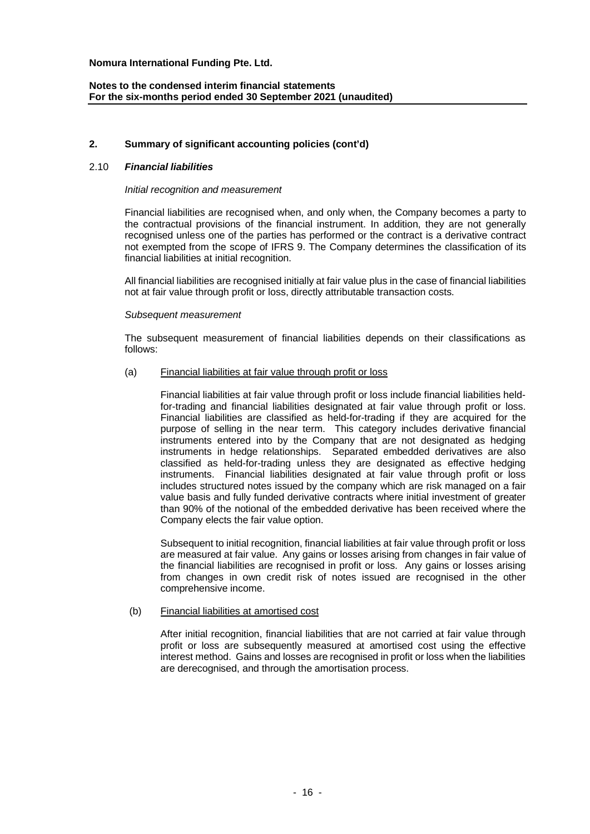# **2. Summary of significant accounting policies (cont'd)**

#### 2.10 *Financial liabilities*

#### *Initial recognition and measurement*

Financial liabilities are recognised when, and only when, the Company becomes a party to the contractual provisions of the financial instrument. In addition, they are not generally recognised unless one of the parties has performed or the contract is a derivative contract not exempted from the scope of IFRS 9. The Company determines the classification of its financial liabilities at initial recognition.

All financial liabilities are recognised initially at fair value plus in the case of financial liabilities not at fair value through profit or loss, directly attributable transaction costs.

#### *Subsequent measurement*

The subsequent measurement of financial liabilities depends on their classifications as follows:

#### (a) Financial liabilities at fair value through profit or loss

Financial liabilities at fair value through profit or loss include financial liabilities heldfor-trading and financial liabilities designated at fair value through profit or loss. Financial liabilities are classified as held-for-trading if they are acquired for the purpose of selling in the near term. This category includes derivative financial instruments entered into by the Company that are not designated as hedging instruments in hedge relationships. Separated embedded derivatives are also classified as held-for-trading unless they are designated as effective hedging instruments. Financial liabilities designated at fair value through profit or loss includes structured notes issued by the company which are risk managed on a fair value basis and fully funded derivative contracts where initial investment of greater than 90% of the notional of the embedded derivative has been received where the Company elects the fair value option.

Subsequent to initial recognition, financial liabilities at fair value through profit or loss are measured at fair value. Any gains or losses arising from changes in fair value of the financial liabilities are recognised in profit or loss. Any gains or losses arising from changes in own credit risk of notes issued are recognised in the other comprehensive income.

#### (b) Financial liabilities at amortised cost

After initial recognition, financial liabilities that are not carried at fair value through profit or loss are subsequently measured at amortised cost using the effective interest method. Gains and losses are recognised in profit or loss when the liabilities are derecognised, and through the amortisation process.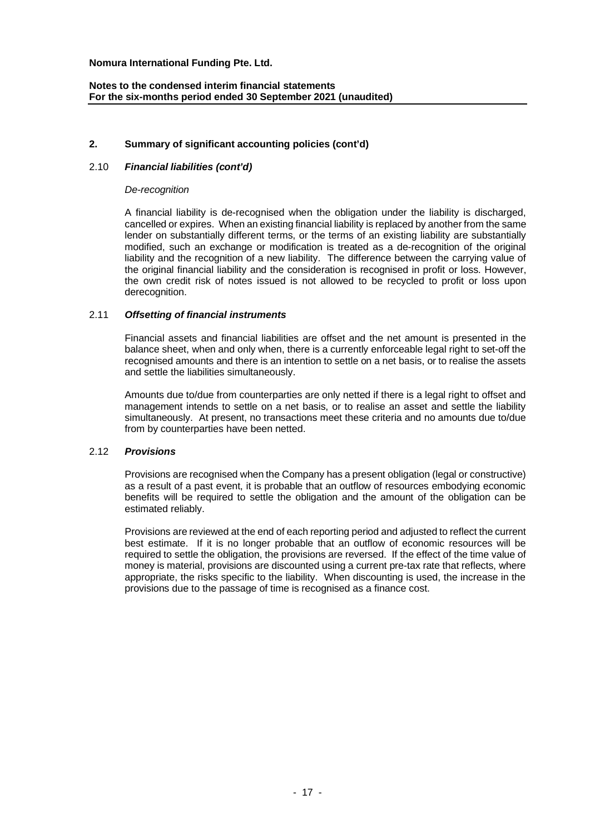### **2. Summary of significant accounting policies (cont'd)**

### 2.10 *Financial liabilities (cont'd)*

#### *De-recognition*

A financial liability is de-recognised when the obligation under the liability is discharged, cancelled or expires. When an existing financial liability is replaced by another from the same lender on substantially different terms, or the terms of an existing liability are substantially modified, such an exchange or modification is treated as a de-recognition of the original liability and the recognition of a new liability. The difference between the carrying value of the original financial liability and the consideration is recognised in profit or loss. However, the own credit risk of notes issued is not allowed to be recycled to profit or loss upon derecognition.

#### 2.11 *Offsetting of financial instruments*

Financial assets and financial liabilities are offset and the net amount is presented in the balance sheet, when and only when, there is a currently enforceable legal right to set-off the recognised amounts and there is an intention to settle on a net basis, or to realise the assets and settle the liabilities simultaneously.

Amounts due to/due from counterparties are only netted if there is a legal right to offset and management intends to settle on a net basis, or to realise an asset and settle the liability simultaneously. At present, no transactions meet these criteria and no amounts due to/due from by counterparties have been netted.

#### 2.12 *Provisions*

Provisions are recognised when the Company has a present obligation (legal or constructive) as a result of a past event, it is probable that an outflow of resources embodying economic benefits will be required to settle the obligation and the amount of the obligation can be estimated reliably.

Provisions are reviewed at the end of each reporting period and adjusted to reflect the current best estimate. If it is no longer probable that an outflow of economic resources will be required to settle the obligation, the provisions are reversed. If the effect of the time value of money is material, provisions are discounted using a current pre-tax rate that reflects, where appropriate, the risks specific to the liability. When discounting is used, the increase in the provisions due to the passage of time is recognised as a finance cost.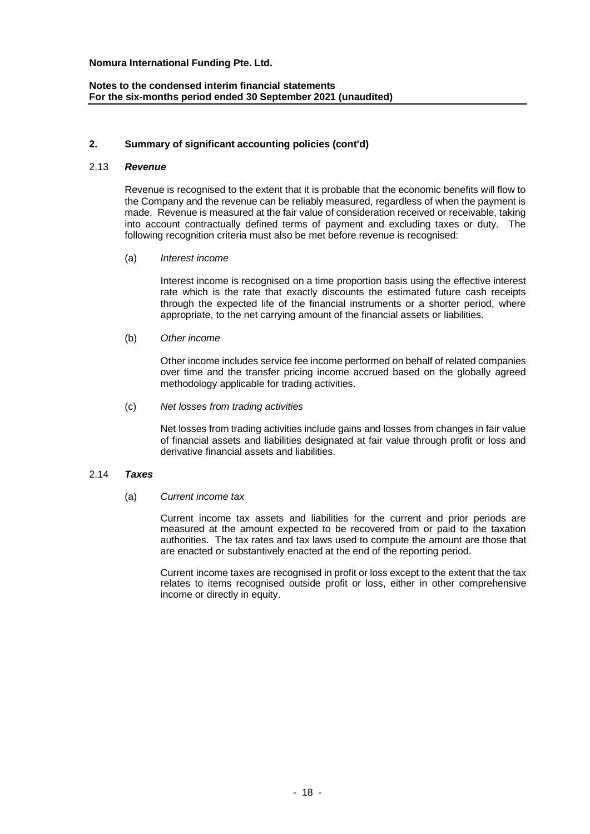# **Notes to the condensed interim financial statements For the six-months period ended 30 September 2021 (unaudited)**

### **2. Summary of significant accounting policies (cont'd)**

#### 2.13 *Revenue*

Revenue is recognised to the extent that it is probable that the economic benefits will flow to the Company and the revenue can be reliably measured, regardless of when the payment is made. Revenue is measured at the fair value of consideration received or receivable, taking into account contractually defined terms of payment and excluding taxes or duty. The following recognition criteria must also be met before revenue is recognised:

(a) *Interest income*

Interest income is recognised on a time proportion basis using the effective interest rate which is the rate that exactly discounts the estimated future cash receipts through the expected life of the financial instruments or a shorter period, where appropriate, to the net carrying amount of the financial assets or liabilities.

(b) *Other income*

Other income includes service fee income performed on behalf of related companies over time and the transfer pricing income accrued based on the globally agreed methodology applicable for trading activities.

(c) *Net losses from trading activities*

Net losses from trading activities include gains and losses from changes in fair value of financial assets and liabilities designated at fair value through profit or loss and derivative financial assets and liabilities.

#### 2.14 *Taxes*

(a) *Current income tax*

Current income tax assets and liabilities for the current and prior periods are measured at the amount expected to be recovered from or paid to the taxation authorities. The tax rates and tax laws used to compute the amount are those that are enacted or substantively enacted at the end of the reporting period.

Current income taxes are recognised in profit or loss except to the extent that the tax relates to items recognised outside profit or loss, either in other comprehensive income or directly in equity.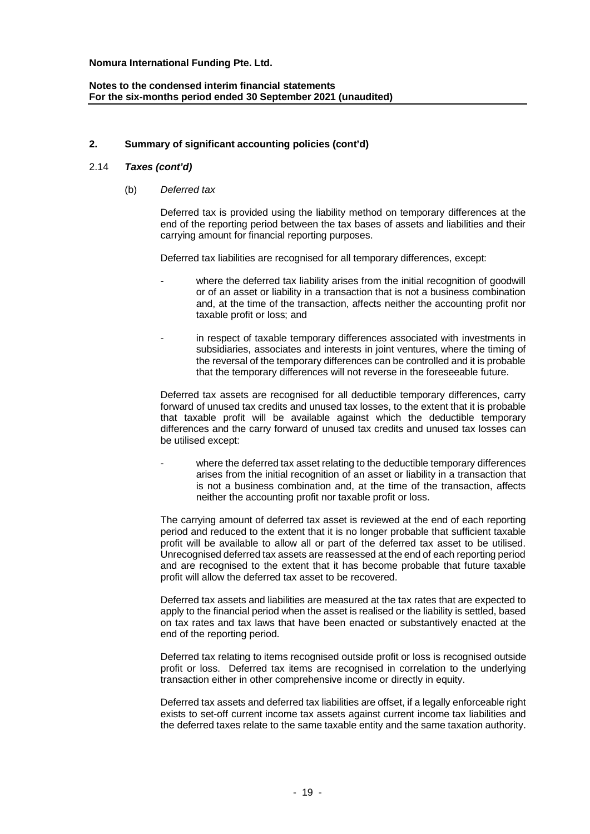# **2. Summary of significant accounting policies (cont'd)**

#### 2.14 *Taxes (cont'd)*

(b) *Deferred tax*

Deferred tax is provided using the liability method on temporary differences at the end of the reporting period between the tax bases of assets and liabilities and their carrying amount for financial reporting purposes.

Deferred tax liabilities are recognised for all temporary differences, except:

- where the deferred tax liability arises from the initial recognition of goodwill or of an asset or liability in a transaction that is not a business combination and, at the time of the transaction, affects neither the accounting profit nor taxable profit or loss; and
- in respect of taxable temporary differences associated with investments in subsidiaries, associates and interests in joint ventures, where the timing of the reversal of the temporary differences can be controlled and it is probable that the temporary differences will not reverse in the foreseeable future.

Deferred tax assets are recognised for all deductible temporary differences, carry forward of unused tax credits and unused tax losses, to the extent that it is probable that taxable profit will be available against which the deductible temporary differences and the carry forward of unused tax credits and unused tax losses can be utilised except:

where the deferred tax asset relating to the deductible temporary differences arises from the initial recognition of an asset or liability in a transaction that is not a business combination and, at the time of the transaction, affects neither the accounting profit nor taxable profit or loss.

The carrying amount of deferred tax asset is reviewed at the end of each reporting period and reduced to the extent that it is no longer probable that sufficient taxable profit will be available to allow all or part of the deferred tax asset to be utilised. Unrecognised deferred tax assets are reassessed at the end of each reporting period and are recognised to the extent that it has become probable that future taxable profit will allow the deferred tax asset to be recovered.

Deferred tax assets and liabilities are measured at the tax rates that are expected to apply to the financial period when the asset is realised or the liability is settled, based on tax rates and tax laws that have been enacted or substantively enacted at the end of the reporting period.

Deferred tax relating to items recognised outside profit or loss is recognised outside profit or loss. Deferred tax items are recognised in correlation to the underlying transaction either in other comprehensive income or directly in equity.

Deferred tax assets and deferred tax liabilities are offset, if a legally enforceable right exists to set-off current income tax assets against current income tax liabilities and the deferred taxes relate to the same taxable entity and the same taxation authority.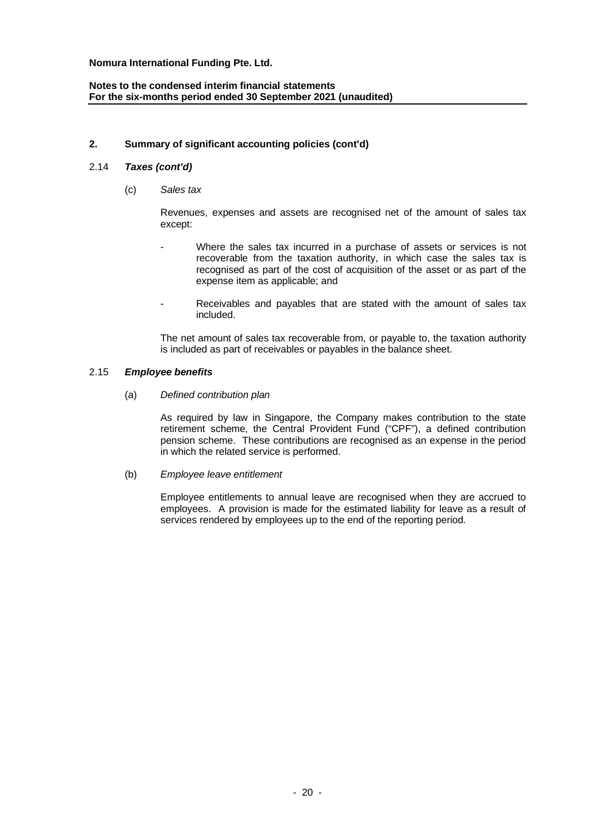# **Notes to the condensed interim financial statements For the six-months period ended 30 September 2021 (unaudited)**

### **2. Summary of significant accounting policies (cont'd)**

### 2.14 *Taxes (cont'd)*

(c) *Sales tax*

Revenues, expenses and assets are recognised net of the amount of sales tax except:

- Where the sales tax incurred in a purchase of assets or services is not recoverable from the taxation authority, in which case the sales tax is recognised as part of the cost of acquisition of the asset or as part of the expense item as applicable; and
- Receivables and payables that are stated with the amount of sales tax included.

The net amount of sales tax recoverable from, or payable to, the taxation authority is included as part of receivables or payables in the balance sheet.

### 2.15 *Employee benefits*

(a) *Defined contribution plan*

As required by law in Singapore, the Company makes contribution to the state retirement scheme, the Central Provident Fund ("CPF"), a defined contribution pension scheme. These contributions are recognised as an expense in the period in which the related service is performed.

(b) *Employee leave entitlement*

Employee entitlements to annual leave are recognised when they are accrued to employees. A provision is made for the estimated liability for leave as a result of services rendered by employees up to the end of the reporting period.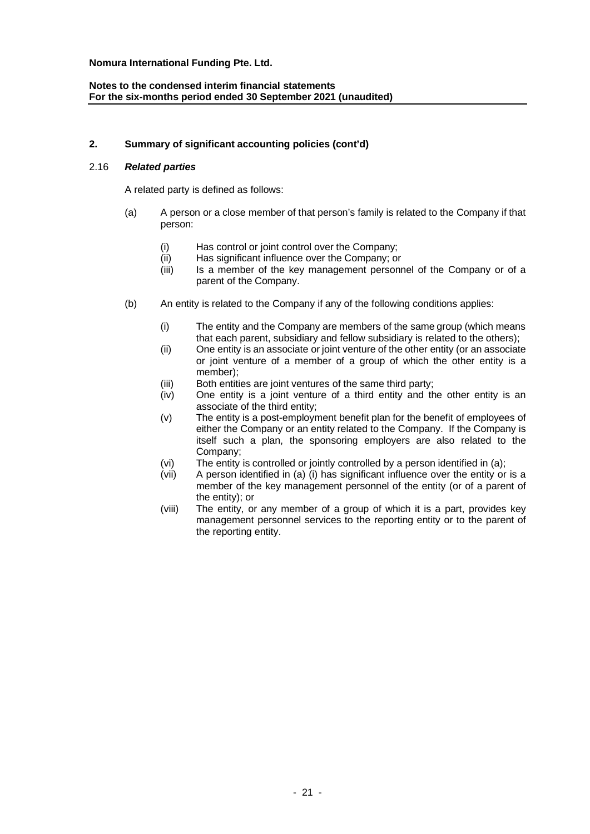# **2. Summary of significant accounting policies (cont'd)**

# 2.16 *Related parties*

A related party is defined as follows:

- (a) A person or a close member of that person's family is related to the Company if that person:
	- (i) Has control or joint control over the Company;
	- (ii) Has significant influence over the Company; or
	- (iii) Is a member of the key management personnel of the Company or of a parent of the Company.
- (b) An entity is related to the Company if any of the following conditions applies:
	- (i) The entity and the Company are members of the same group (which means that each parent, subsidiary and fellow subsidiary is related to the others);
	- (ii) One entity is an associate or joint venture of the other entity (or an associate or joint venture of a member of a group of which the other entity is a member);
	- (iii) Both entities are joint ventures of the same third party;
	- (iv) One entity is a joint venture of a third entity and the other entity is an associate of the third entity;
	- (v) The entity is a post-employment benefit plan for the benefit of employees of either the Company or an entity related to the Company. If the Company is itself such a plan, the sponsoring employers are also related to the Company;
	- (vi) The entity is controlled or jointly controlled by a person identified in (a);
	- (vii) A person identified in (a) (i) has significant influence over the entity or is a member of the key management personnel of the entity (or of a parent of the entity); or
	- (viii) The entity, or any member of a group of which it is a part, provides key management personnel services to the reporting entity or to the parent of the reporting entity.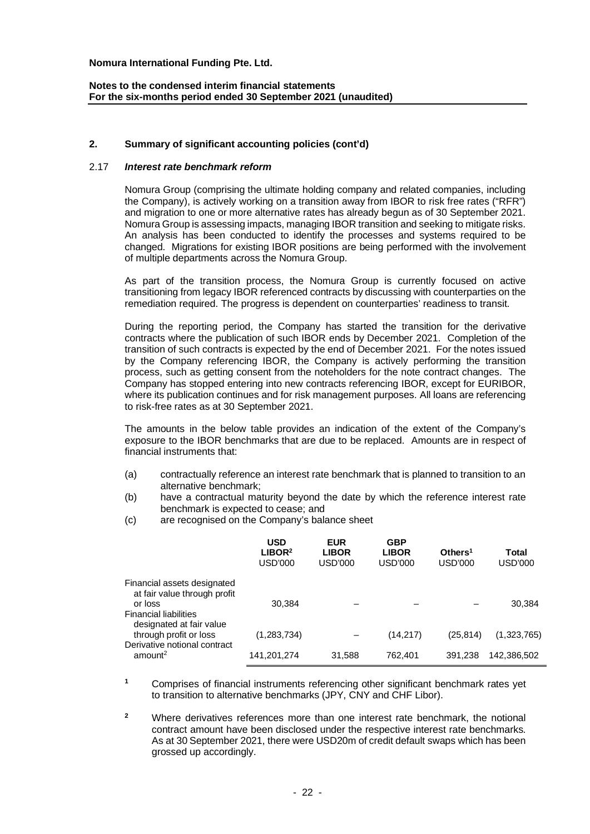### **Notes to the condensed interim financial statements For the six-months period ended 30 September 2021 (unaudited)**

### **2. Summary of significant accounting policies (cont'd)**

#### 2.17 *Interest rate benchmark reform*

Nomura Group (comprising the ultimate holding company and related companies, including the Company), is actively working on a transition away from IBOR to risk free rates ("RFR") and migration to one or more alternative rates has already begun as of 30 September 2021. Nomura Group is assessing impacts, managing IBOR transition and seeking to mitigate risks. An analysis has been conducted to identify the processes and systems required to be changed. Migrations for existing IBOR positions are being performed with the involvement of multiple departments across the Nomura Group.

As part of the transition process, the Nomura Group is currently focused on active transitioning from legacy IBOR referenced contracts by discussing with counterparties on the remediation required. The progress is dependent on counterparties' readiness to transit.

During the reporting period, the Company has started the transition for the derivative contracts where the publication of such IBOR ends by December 2021. Completion of the transition of such contracts is expected by the end of December 2021. For the notes issued by the Company referencing IBOR, the Company is actively performing the transition process, such as getting consent from the noteholders for the note contract changes. The Company has stopped entering into new contracts referencing IBOR, except for EURIBOR, where its publication continues and for risk management purposes. All loans are referencing to risk-free rates as at 30 September 2021.

The amounts in the below table provides an indication of the extent of the Company's exposure to the IBOR benchmarks that are due to be replaced. Amounts are in respect of financial instruments that:

- (a) contractually reference an interest rate benchmark that is planned to transition to an alternative benchmark;
- (b) have a contractual maturity beyond the date by which the reference interest rate benchmark is expected to cease; and
- (c) are recognised on the Company's balance sheet

|                                                                                    | <b>USD</b><br>LIBOR <sup>2</sup><br>USD'000 | <b>EUR</b><br><b>LIBOR</b><br>USD'000 | <b>GBP</b><br><b>LIBOR</b><br>USD'000 | Other <sub>1</sub><br>USD'000 | Total<br>USD'000 |
|------------------------------------------------------------------------------------|---------------------------------------------|---------------------------------------|---------------------------------------|-------------------------------|------------------|
| Financial assets designated<br>at fair value through profit<br>or loss             | 30.384                                      |                                       |                                       |                               | 30,384           |
| <b>Financial liabilities</b><br>designated at fair value<br>through profit or loss | (1, 283, 734)                               |                                       | (14,217)                              | (25, 814)                     | (1,323,765)      |
| Derivative notional contract<br>amount <sup>2</sup>                                | 141,201,274                                 | 31,588                                | 762,401                               | 391.238                       | 142,386,502      |

**<sup>1</sup>** Comprises of financial instruments referencing other significant benchmark rates yet to transition to alternative benchmarks (JPY, CNY and CHF Libor).

**<sup>2</sup>** Where derivatives references more than one interest rate benchmark, the notional contract amount have been disclosed under the respective interest rate benchmarks. As at 30 September 2021, there were USD20m of credit default swaps which has been grossed up accordingly.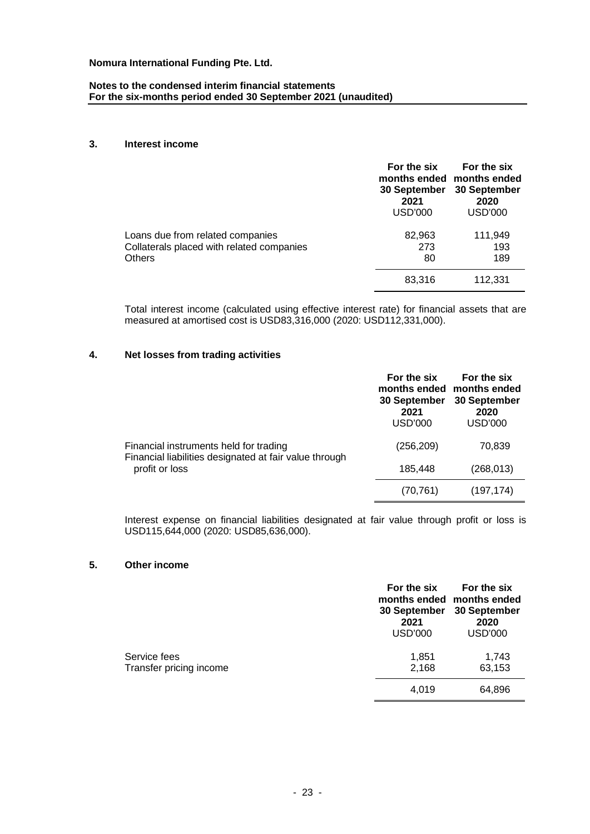### **Notes to the condensed interim financial statements For the six-months period ended 30 September 2021 (unaudited)**

#### **3. Interest income**

|                                                                                                | For the six<br>30 September<br>2021<br>USD'000 | For the six<br>months ended months ended<br>30 September<br>2020<br><b>USD'000</b> |
|------------------------------------------------------------------------------------------------|------------------------------------------------|------------------------------------------------------------------------------------|
| Loans due from related companies<br>Collaterals placed with related companies<br><b>Others</b> | 82,963<br>273<br>80                            | 111,949<br>193<br>189                                                              |
|                                                                                                | 83,316                                         | 112,331                                                                            |

Total interest income (calculated using effective interest rate) for financial assets that are measured at amortised cost is USD83,316,000 (2020: USD112,331,000).

# **4. Net losses from trading activities**

|                                                                                                                    | For the six<br>months ended months ended<br>30 September<br>2021<br><b>USD'000</b> | For the six<br>30 September<br>2020<br>USD'000 |
|--------------------------------------------------------------------------------------------------------------------|------------------------------------------------------------------------------------|------------------------------------------------|
| Financial instruments held for trading<br>Financial liabilities designated at fair value through<br>profit or loss | (256, 209)                                                                         | 70,839                                         |
|                                                                                                                    | 185,448                                                                            | (268, 013)                                     |
|                                                                                                                    | (70, 761)                                                                          | (197, 174)                                     |

Interest expense on financial liabilities designated at fair value through profit or loss is USD115,644,000 (2020: USD85,636,000).

#### **5. Other income**

|                                         | For the six<br>30 September<br>2021<br><b>USD'000</b> | For the six<br>months ended months ended<br>30 September<br>2020<br><b>USD'000</b> |
|-----------------------------------------|-------------------------------------------------------|------------------------------------------------------------------------------------|
| Service fees<br>Transfer pricing income | 1,851<br>2,168                                        | 1,743<br>63,153                                                                    |
|                                         | 4,019                                                 | 64,896                                                                             |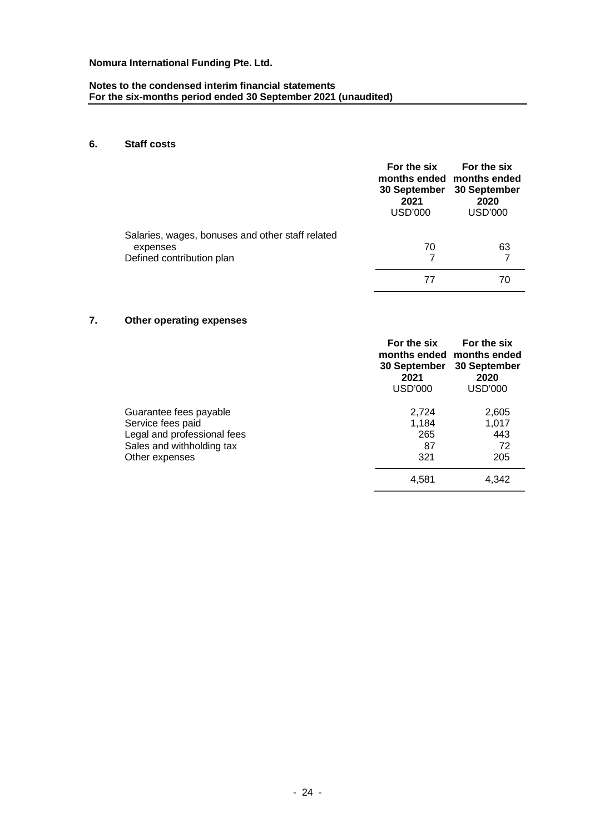#### **Notes to the condensed interim financial statements For the six-months period ended 30 September 2021 (unaudited)**

# **6. Staff costs**

|                                                  | For the six<br>30 September<br>2021<br>USD'000 | For the six<br>months ended months ended<br>30 September<br>2020<br><b>USD'000</b> |
|--------------------------------------------------|------------------------------------------------|------------------------------------------------------------------------------------|
| Salaries, wages, bonuses and other staff related |                                                |                                                                                    |
| expenses                                         | 70                                             | 63                                                                                 |
| Defined contribution plan                        |                                                |                                                                                    |
|                                                  |                                                |                                                                                    |

# **7. Other operating expenses**

|                                                                                                                           | For the six<br>months ended<br>30 September<br>2021<br>USD'000 | For the six<br>months ended<br>30 September<br>2020<br>USD'000 |
|---------------------------------------------------------------------------------------------------------------------------|----------------------------------------------------------------|----------------------------------------------------------------|
| Guarantee fees payable<br>Service fees paid<br>Legal and professional fees<br>Sales and withholding tax<br>Other expenses | 2,724<br>1,184<br>265<br>87<br>321                             | 2,605<br>1,017<br>443<br>72<br>205                             |
|                                                                                                                           | 4,581                                                          | 4,342                                                          |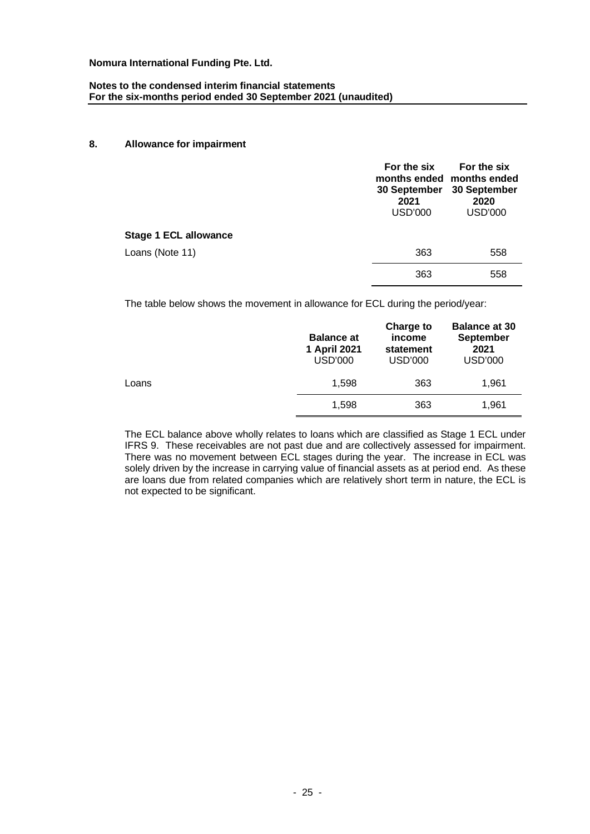### **Notes to the condensed interim financial statements For the six-months period ended 30 September 2021 (unaudited)**

#### **8. Allowance for impairment**

|                              | For the six<br>2021<br><b>USD'000</b> | For the six<br>months ended months ended<br>30 September 30 September<br>2020<br><b>USD'000</b> |
|------------------------------|---------------------------------------|-------------------------------------------------------------------------------------------------|
| <b>Stage 1 ECL allowance</b> |                                       |                                                                                                 |
| Loans (Note 11)              | 363                                   | 558                                                                                             |
|                              | 363                                   | 558                                                                                             |

The table below shows the movement in allowance for ECL during the period/year:

|       | <b>Balance at</b><br>1 April 2021<br><b>USD'000</b> | Charge to<br>income<br>statement<br><b>USD'000</b> | <b>Balance at 30</b><br><b>September</b><br>2021<br><b>USD'000</b> |
|-------|-----------------------------------------------------|----------------------------------------------------|--------------------------------------------------------------------|
| Loans | 1,598                                               | 363                                                | 1,961                                                              |
|       | 1.598                                               | 363                                                | 1,961                                                              |

The ECL balance above wholly relates to loans which are classified as Stage 1 ECL under IFRS 9. These receivables are not past due and are collectively assessed for impairment. There was no movement between ECL stages during the year. The increase in ECL was solely driven by the increase in carrying value of financial assets as at period end. As these are loans due from related companies which are relatively short term in nature, the ECL is not expected to be significant.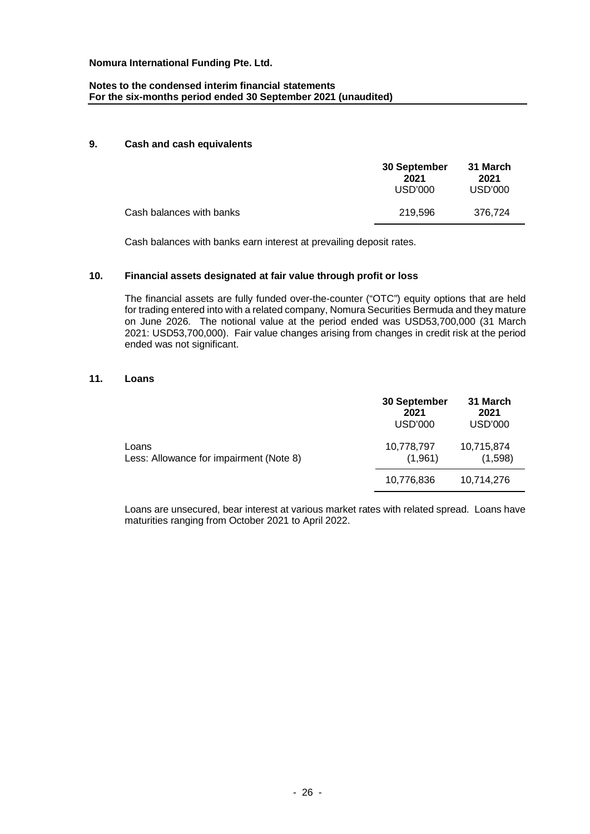### **Notes to the condensed interim financial statements For the six-months period ended 30 September 2021 (unaudited)**

#### **9. Cash and cash equivalents**

|                          | 30 September<br>2021<br>USD'000 | 31 March<br>2021<br>USD'000 |
|--------------------------|---------------------------------|-----------------------------|
| Cash balances with banks | 219.596                         | 376.724                     |

Cash balances with banks earn interest at prevailing deposit rates.

### **10. Financial assets designated at fair value through profit or loss**

The financial assets are fully funded over-the-counter ("OTC") equity options that are held for trading entered into with a related company, Nomura Securities Bermuda and they mature on June 2026. The notional value at the period ended was USD53,700,000 (31 March 2021: USD53,700,000). Fair value changes arising from changes in credit risk at the period ended was not significant.

#### **11. Loans**

|                                                  | 30 September<br>2021<br>USD'000 | 31 March<br>2021<br>USD'000 |
|--------------------------------------------------|---------------------------------|-----------------------------|
| Loans<br>Less: Allowance for impairment (Note 8) | 10,778,797<br>(1,961)           | 10,715,874<br>(1,598)       |
|                                                  | 10,776,836                      | 10,714,276                  |

Loans are unsecured, bear interest at various market rates with related spread. Loans have maturities ranging from October 2021 to April 2022.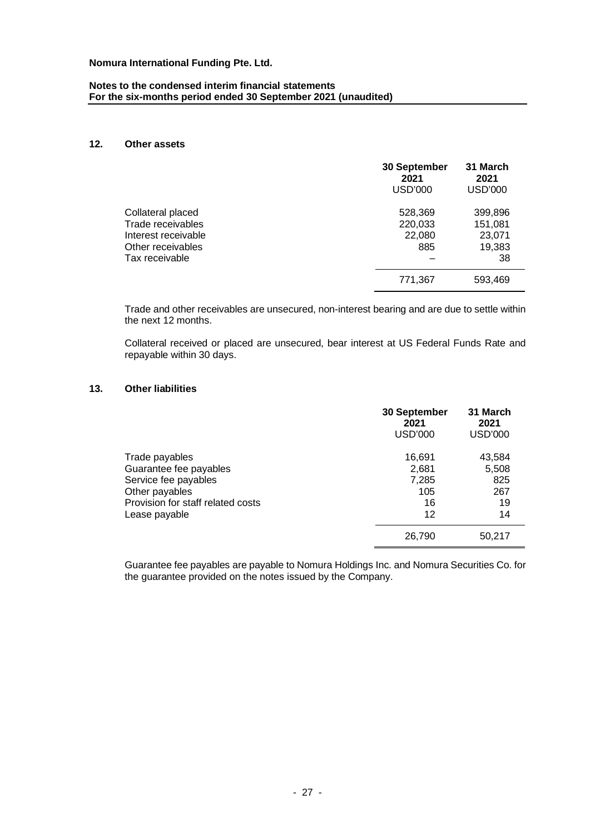### **Notes to the condensed interim financial statements For the six-months period ended 30 September 2021 (unaudited)**

### **12. Other assets**

|                                                                                                      | 30 September<br>2021<br><b>USD'000</b> | 31 March<br>2021<br><b>USD'000</b>           |
|------------------------------------------------------------------------------------------------------|----------------------------------------|----------------------------------------------|
| Collateral placed<br>Trade receivables<br>Interest receivable<br>Other receivables<br>Tax receivable | 528,369<br>220,033<br>22,080<br>885    | 399,896<br>151,081<br>23,071<br>19,383<br>38 |
|                                                                                                      | 771,367                                | 593,469                                      |

Trade and other receivables are unsecured, non-interest bearing and are due to settle within the next 12 months.

Collateral received or placed are unsecured, bear interest at US Federal Funds Rate and repayable within 30 days.

# **13. Other liabilities**

|                                                                                                                                          | 30 September<br>2021<br><b>USD'000</b>      | 31 March<br>2021<br><b>USD'000</b>        |
|------------------------------------------------------------------------------------------------------------------------------------------|---------------------------------------------|-------------------------------------------|
| Trade payables<br>Guarantee fee payables<br>Service fee payables<br>Other payables<br>Provision for staff related costs<br>Lease payable | 16,691<br>2,681<br>7,285<br>105<br>16<br>12 | 43,584<br>5,508<br>825<br>267<br>19<br>14 |
|                                                                                                                                          | 26,790                                      | 50,217                                    |

Guarantee fee payables are payable to Nomura Holdings Inc. and Nomura Securities Co. for the guarantee provided on the notes issued by the Company.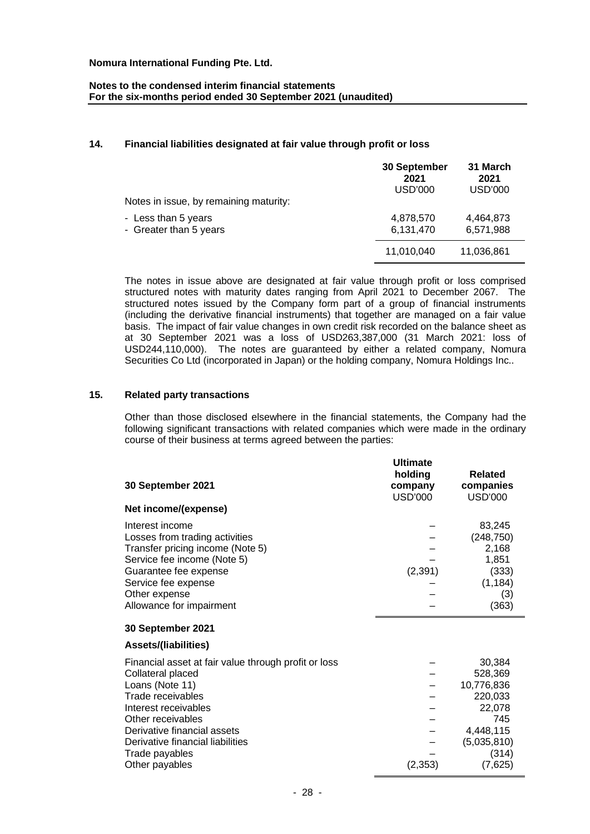### **Notes to the condensed interim financial statements For the six-months period ended 30 September 2021 (unaudited)**

### **14. Financial liabilities designated at fair value through profit or loss**

|                                        | 30 September<br>2021<br>USD'000 | 31 March<br>2021<br>USD'000 |
|----------------------------------------|---------------------------------|-----------------------------|
| Notes in issue, by remaining maturity: |                                 |                             |
| - Less than 5 years                    | 4,878,570                       | 4,464,873                   |
| - Greater than 5 years                 | 6,131,470                       | 6,571,988                   |
|                                        | 11,010,040                      | 11,036,861                  |

The notes in issue above are designated at fair value through profit or loss comprised structured notes with maturity dates ranging from April 2021 to December 2067. The structured notes issued by the Company form part of a group of financial instruments (including the derivative financial instruments) that together are managed on a fair value basis. The impact of fair value changes in own credit risk recorded on the balance sheet as at 30 September 2021 was a loss of USD263,387,000 (31 March 2021: loss of USD244,110,000). The notes are guaranteed by either a related company, Nomura Securities Co Ltd (incorporated in Japan) or the holding company, Nomura Holdings Inc..

#### **15. Related party transactions**

Other than those disclosed elsewhere in the financial statements, the Company had the following significant transactions with related companies which were made in the ordinary course of their business at terms agreed between the parties:

|                                                                                                                                                                                                                                                                       | <b>Ultimate</b>               |                                                                                                             |
|-----------------------------------------------------------------------------------------------------------------------------------------------------------------------------------------------------------------------------------------------------------------------|-------------------------------|-------------------------------------------------------------------------------------------------------------|
| 30 September 2021                                                                                                                                                                                                                                                     | holding<br>company<br>USD'000 | Related<br>companies<br><b>USD'000</b>                                                                      |
| Net income/(expense)                                                                                                                                                                                                                                                  |                               |                                                                                                             |
| Interest income<br>Losses from trading activities<br>Transfer pricing income (Note 5)<br>Service fee income (Note 5)<br>Guarantee fee expense<br>Service fee expense<br>Other expense<br>Allowance for impairment                                                     | (2, 391)                      | 83,245<br>(248, 750)<br>2,168<br>1,851<br>(333)<br>(1, 184)<br>(3)<br>(363)                                 |
| 30 September 2021                                                                                                                                                                                                                                                     |                               |                                                                                                             |
| <b>Assets/(liabilities)</b>                                                                                                                                                                                                                                           |                               |                                                                                                             |
| Financial asset at fair value through profit or loss<br>Collateral placed<br>Loans (Note 11)<br>Trade receivables<br>Interest receivables<br>Other receivables<br>Derivative financial assets<br>Derivative financial liabilities<br>Trade payables<br>Other payables | (2, 353)                      | 30,384<br>528,369<br>10,776,836<br>220,033<br>22,078<br>745<br>4,448,115<br>(5,035,810)<br>(314)<br>(7,625) |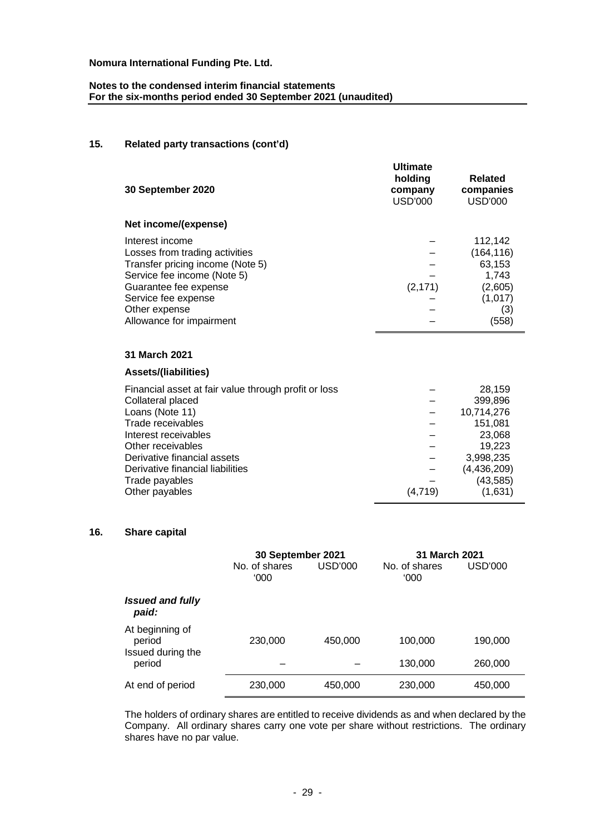# **Notes to the condensed interim financial statements For the six-months period ended 30 September 2021 (unaudited)**

# **15. Related party transactions (cont'd)**

| 30 September 2020                                                                                                                                                                                                                                                     | <b>Ultimate</b><br>holding<br>company<br><b>USD'000</b> | <b>Related</b><br>companies<br><b>USD'000</b>                                                                      |
|-----------------------------------------------------------------------------------------------------------------------------------------------------------------------------------------------------------------------------------------------------------------------|---------------------------------------------------------|--------------------------------------------------------------------------------------------------------------------|
| Net income/(expense)                                                                                                                                                                                                                                                  |                                                         |                                                                                                                    |
| Interest income<br>Losses from trading activities<br>Transfer pricing income (Note 5)<br>Service fee income (Note 5)<br>Guarantee fee expense<br>Service fee expense<br>Other expense<br>Allowance for impairment                                                     | (2, 171)                                                | 112,142<br>(164, 116)<br>63,153<br>1,743<br>(2,605)<br>(1,017)<br>(3)<br>(558)                                     |
| 31 March 2021                                                                                                                                                                                                                                                         |                                                         |                                                                                                                    |
| <b>Assets/(liabilities)</b>                                                                                                                                                                                                                                           |                                                         |                                                                                                                    |
| Financial asset at fair value through profit or loss<br>Collateral placed<br>Loans (Note 11)<br>Trade receivables<br>Interest receivables<br>Other receivables<br>Derivative financial assets<br>Derivative financial liabilities<br>Trade payables<br>Other payables | (4, 719)                                                | 28,159<br>399,896<br>10,714,276<br>151,081<br>23,068<br>19,223<br>3,998,235<br>(4,436,209)<br>(43, 585)<br>(1,631) |

# **16. Share capital**

|                                                | 30 September 2021     |         | 31 March 2021         |         |
|------------------------------------------------|-----------------------|---------|-----------------------|---------|
|                                                | No. of shares<br>000' | USD'000 | No. of shares<br>'000 | USD'000 |
| <b>Issued and fully</b><br>paid:               |                       |         |                       |         |
| At beginning of<br>period<br>Issued during the | 230,000               | 450,000 | 100,000               | 190,000 |
| period                                         |                       |         | 130,000               | 260,000 |
| At end of period                               | 230,000               | 450,000 | 230,000               | 450,000 |

The holders of ordinary shares are entitled to receive dividends as and when declared by the Company. All ordinary shares carry one vote per share without restrictions. The ordinary shares have no par value.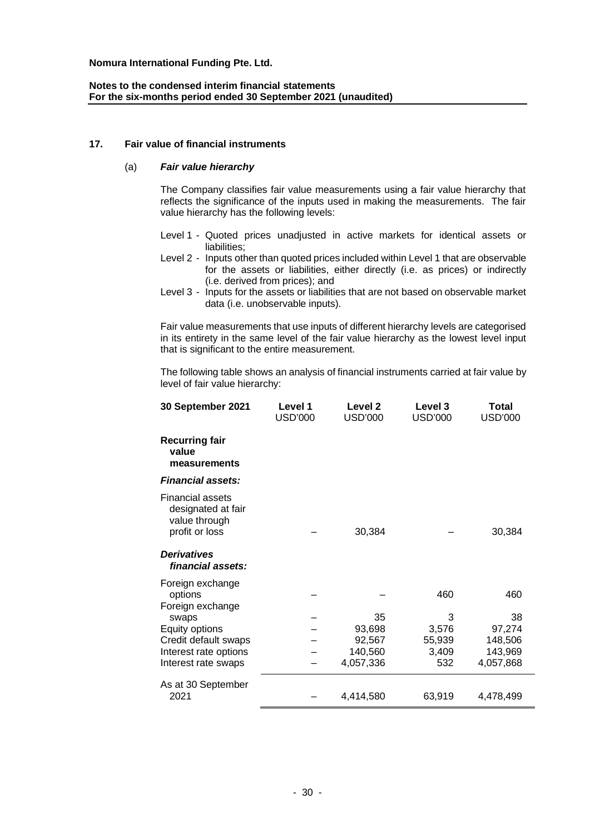### **Notes to the condensed interim financial statements For the six-months period ended 30 September 2021 (unaudited)**

#### **17. Fair value of financial instruments**

#### (a) *Fair value hierarchy*

The Company classifies fair value measurements using a fair value hierarchy that reflects the significance of the inputs used in making the measurements. The fair value hierarchy has the following levels:

- Level 1 Quoted prices unadjusted in active markets for identical assets or liabilities;
- Level 2 Inputs other than quoted prices included within Level 1 that are observable for the assets or liabilities, either directly (i.e. as prices) or indirectly (i.e. derived from prices); and
- Level 3 Inputs for the assets or liabilities that are not based on observable market data (i.e. unobservable inputs).

Fair value measurements that use inputs of different hierarchy levels are categorised in its entirety in the same level of the fair value hierarchy as the lowest level input that is significant to the entire measurement.

The following table shows an analysis of financial instruments carried at fair value by level of fair value hierarchy:

| 30 September 2021                                                                | Level 1<br><b>USD'000</b> | Level <sub>2</sub><br><b>USD'000</b> | Level 3<br><b>USD'000</b> | Total<br><b>USD'000</b> |
|----------------------------------------------------------------------------------|---------------------------|--------------------------------------|---------------------------|-------------------------|
| <b>Recurring fair</b><br>value<br>measurements                                   |                           |                                      |                           |                         |
| <b>Financial assets:</b>                                                         |                           |                                      |                           |                         |
| <b>Financial assets</b><br>designated at fair<br>value through<br>profit or loss |                           | 30,384                               |                           | 30,384                  |
| <b>Derivatives</b><br>financial assets:                                          |                           |                                      |                           |                         |
| Foreign exchange<br>options<br>Foreign exchange                                  |                           |                                      | 460                       | 460                     |
| swaps                                                                            |                           | 35                                   | 3                         | 38                      |
| Equity options                                                                   |                           | 93,698                               | 3,576                     | 97,274                  |
| Credit default swaps                                                             |                           | 92,567                               | 55,939                    | 148,506                 |
| Interest rate options                                                            |                           | 140,560                              | 3,409                     | 143,969                 |
| Interest rate swaps                                                              |                           | 4,057,336                            | 532                       | 4,057,868               |
| As at 30 September<br>2021                                                       |                           | 4,414,580                            | 63,919                    | 4,478,499               |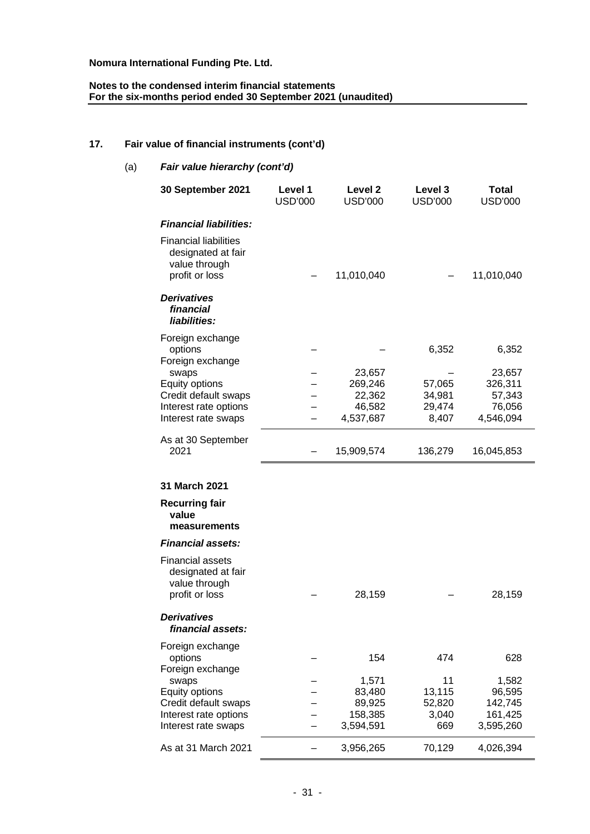#### **Notes to the condensed interim financial statements For the six-months period ended 30 September 2021 (unaudited)**

# **17. Fair value of financial instruments (cont'd)**

| (a)<br>Fair value hierarchy (cont'd) |                                                                                       |                           |                           |                           |                                |
|--------------------------------------|---------------------------------------------------------------------------------------|---------------------------|---------------------------|---------------------------|--------------------------------|
|                                      | 30 September 2021                                                                     | Level 1<br><b>USD'000</b> | Level 2<br><b>USD'000</b> | Level 3<br><b>USD'000</b> | <b>Total</b><br><b>USD'000</b> |
|                                      | <b>Financial liabilities:</b>                                                         |                           |                           |                           |                                |
|                                      | <b>Financial liabilities</b><br>designated at fair<br>value through<br>profit or loss |                           | 11,010,040                |                           | 11,010,040                     |
|                                      | <b>Derivatives</b><br>financial<br>liabilities:                                       |                           |                           |                           |                                |
|                                      | Foreign exchange<br>options<br>Foreign exchange<br>swaps                              |                           | 23,657                    | 6,352                     | 6,352<br>23,657                |
|                                      | Equity options                                                                        |                           | 269,246                   | 57,065                    | 326,311                        |
|                                      | Credit default swaps<br>Interest rate options                                         |                           | 22,362<br>46,582          | 34,981<br>29,474          | 57,343<br>76,056               |
|                                      | Interest rate swaps                                                                   |                           | 4,537,687                 | 8,407                     | 4,546,094                      |
|                                      | As at 30 September<br>2021                                                            |                           | 15,909,574                | 136,279                   | 16,045,853                     |
|                                      | 31 March 2021                                                                         |                           |                           |                           |                                |
|                                      | <b>Recurring fair</b><br>value<br>measurements                                        |                           |                           |                           |                                |
|                                      | <b>Financial assets:</b>                                                              |                           |                           |                           |                                |
|                                      | <b>Financial assets</b><br>designated at fair<br>value through<br>profit or loss      |                           | 28,159                    |                           | 28,159                         |
|                                      | <b>Derivatives</b><br>financial assets:                                               |                           |                           |                           |                                |
|                                      | Foreign exchange<br>options<br>Foreign exchange                                       |                           | 154                       | 474                       | 628                            |
|                                      | swaps                                                                                 |                           | 1,571                     | 11                        | 1,582                          |
|                                      | Equity options                                                                        |                           | 83,480                    | 13,115                    | 96,595                         |
|                                      | Credit default swaps<br>Interest rate options                                         |                           | 89,925<br>158,385         | 52,820<br>3,040           | 142,745<br>161,425             |
|                                      | Interest rate swaps                                                                   |                           | 3,594,591                 | 669                       | 3,595,260                      |
|                                      | As at 31 March 2021                                                                   |                           | 3,956,265                 | 70,129                    | 4,026,394                      |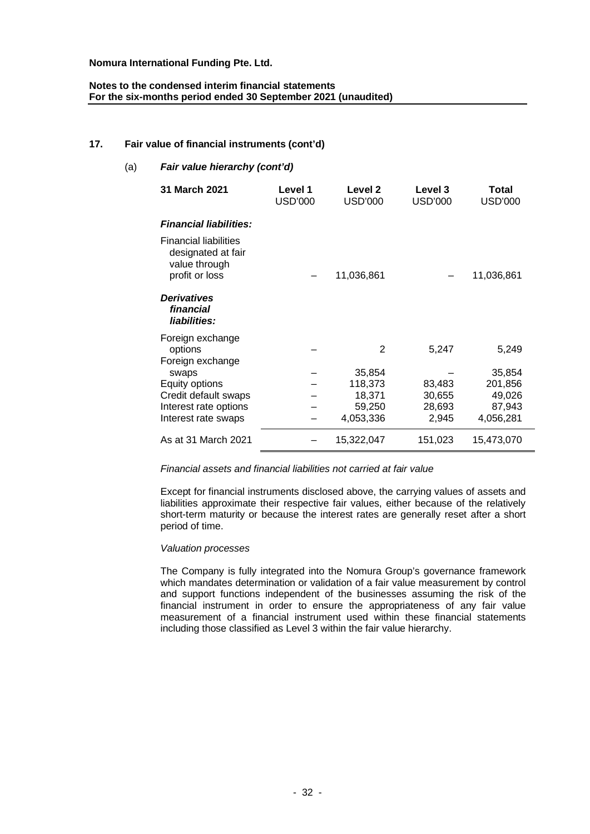### **Notes to the condensed interim financial statements For the six-months period ended 30 September 2021 (unaudited)**

### **17. Fair value of financial instruments (cont'd)**

| Fair value hierarchy (cont'd)<br>(a) |                                                                                       |                           |                           |                           |                         |
|--------------------------------------|---------------------------------------------------------------------------------------|---------------------------|---------------------------|---------------------------|-------------------------|
|                                      | 31 March 2021                                                                         | Level 1<br><b>USD'000</b> | Level 2<br><b>USD'000</b> | Level 3<br><b>USD'000</b> | Total<br><b>USD'000</b> |
|                                      | <b>Financial liabilities:</b>                                                         |                           |                           |                           |                         |
|                                      | <b>Financial liabilities</b><br>designated at fair<br>value through<br>profit or loss |                           | 11,036,861                |                           | 11,036,861              |
|                                      | <b>Derivatives</b><br>financial<br>liabilities:                                       |                           |                           |                           |                         |
|                                      | Foreign exchange<br>options<br>Foreign exchange<br>swaps                              |                           | 2<br>35,854               | 5,247                     | 5,249<br>35,854         |
|                                      | Equity options<br>Credit default swaps                                                |                           | 118,373<br>18,371         | 83,483                    | 201,856<br>49,026       |
|                                      | Interest rate options                                                                 |                           | 59,250                    | 30,655<br>28,693          | 87,943                  |
|                                      | Interest rate swaps                                                                   |                           | 4,053,336                 | 2,945                     | 4,056,281               |
|                                      | As at 31 March 2021                                                                   |                           | 15,322,047                | 151,023                   | 15,473,070              |

#### *Financial assets and financial liabilities not carried at fair value*

Except for financial instruments disclosed above, the carrying values of assets and liabilities approximate their respective fair values, either because of the relatively short-term maturity or because the interest rates are generally reset after a short period of time.

#### *Valuation processes*

The Company is fully integrated into the Nomura Group's governance framework which mandates determination or validation of a fair value measurement by control and support functions independent of the businesses assuming the risk of the financial instrument in order to ensure the appropriateness of any fair value measurement of a financial instrument used within these financial statements including those classified as Level 3 within the fair value hierarchy.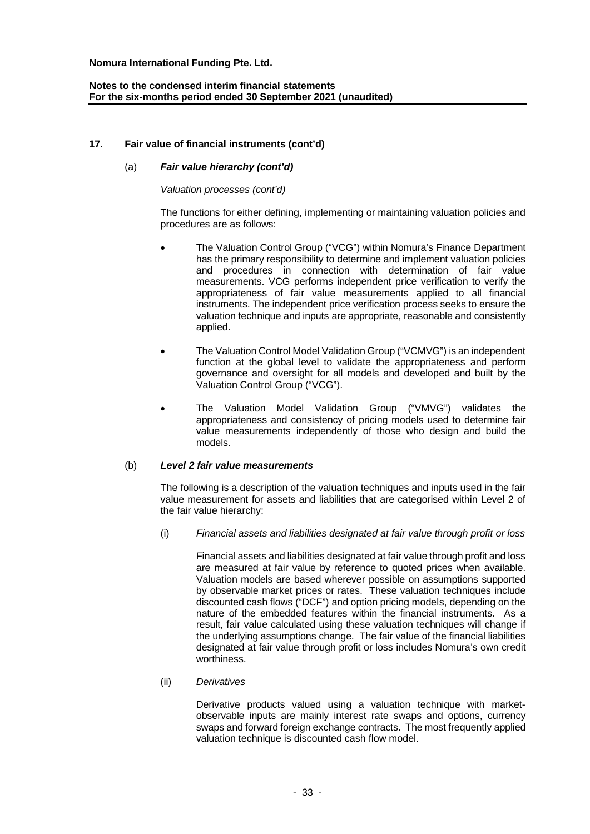### **17. Fair value of financial instruments (cont'd)**

### (a) *Fair value hierarchy (cont'd)*

#### *Valuation processes (cont'd)*

The functions for either defining, implementing or maintaining valuation policies and procedures are as follows:

- · The Valuation Control Group ("VCG") within Nomura's Finance Department has the primary responsibility to determine and implement valuation policies and procedures in connection with determination of fair value measurements. VCG performs independent price verification to verify the appropriateness of fair value measurements applied to all financial instruments. The independent price verification process seeks to ensure the valuation technique and inputs are appropriate, reasonable and consistently applied.
- · The Valuation Control Model Validation Group ("VCMVG") is an independent function at the global level to validate the appropriateness and perform governance and oversight for all models and developed and built by the Valuation Control Group ("VCG").
- The Valuation Model Validation Group ("VMVG") validates the appropriateness and consistency of pricing models used to determine fair value measurements independently of those who design and build the models.

#### (b) *Level 2 fair value measurements*

The following is a description of the valuation techniques and inputs used in the fair value measurement for assets and liabilities that are categorised within Level 2 of the fair value hierarchy:

(i) *Financial assets and liabilities designated at fair value through profit or loss*

Financial assets and liabilities designated at fair value through profit and loss are measured at fair value by reference to quoted prices when available. Valuation models are based wherever possible on assumptions supported by observable market prices or rates. These valuation techniques include discounted cash flows ("DCF") and option pricing models, depending on the nature of the embedded features within the financial instruments. As a result, fair value calculated using these valuation techniques will change if the underlying assumptions change. The fair value of the financial liabilities designated at fair value through profit or loss includes Nomura's own credit worthiness.

#### (ii) *Derivatives*

Derivative products valued using a valuation technique with marketobservable inputs are mainly interest rate swaps and options, currency swaps and forward foreign exchange contracts. The most frequently applied valuation technique is discounted cash flow model.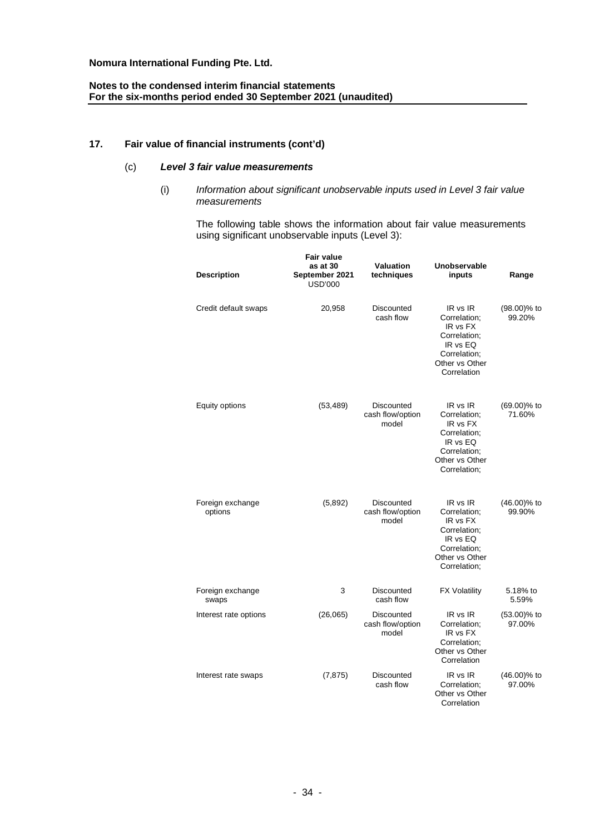# **Notes to the condensed interim financial statements For the six-months period ended 30 September 2021 (unaudited)**

# **17. Fair value of financial instruments (cont'd)**

### (c) *Level 3 fair value measurements*

(i) *Information about significant unobservable inputs used in Level 3 fair value measurements*

The following table shows the information about fair value measurements using significant unobservable inputs (Level 3):

| <b>Description</b>          | <b>Fair value</b><br>as at 30<br>September 2021<br><b>USD'000</b> | <b>Valuation</b><br>techniques          | Unobservable<br>inputs                                                                                             | Range                    |  |
|-----------------------------|-------------------------------------------------------------------|-----------------------------------------|--------------------------------------------------------------------------------------------------------------------|--------------------------|--|
| Credit default swaps        | 20,958                                                            | Discounted<br>cash flow                 | IR vs IR<br>Correlation;<br>IR vs FX<br>Correlation:<br>IR vs EQ<br>Correlation:<br>Other vs Other<br>Correlation  | $(98.00)\%$ to<br>99.20% |  |
| Equity options              | (53, 489)                                                         | Discounted<br>cash flow/option<br>model | IR vs IR<br>Correlation;<br>IR vs FX<br>Correlation:<br>IR vs EQ<br>Correlation;<br>Other vs Other<br>Correlation; | (69.00)% to<br>71.60%    |  |
| Foreign exchange<br>options | (5,892)                                                           | Discounted<br>cash flow/option<br>model | IR vs IR<br>Correlation;<br>IR vs FX<br>Correlation:<br>IR vs EQ<br>Correlation:<br>Other vs Other<br>Correlation: | (46.00)% to<br>99.90%    |  |
| Foreign exchange<br>swaps   | 3                                                                 | Discounted<br>cash flow                 | <b>FX Volatility</b>                                                                                               | 5.18% to<br>5.59%        |  |
| Interest rate options       | (26,065)                                                          | Discounted<br>cash flow/option<br>model | IR vs IR<br>Correlation;<br>IR vs FX<br>Correlation:<br>Other vs Other<br>Correlation                              | $(53.00)\%$ to<br>97.00% |  |
| Interest rate swaps         | (7, 875)                                                          | Discounted<br>cash flow                 | IR vs IR<br>Correlation;<br>Other vs Other<br>Correlation                                                          | $(46.00)\%$ to<br>97.00% |  |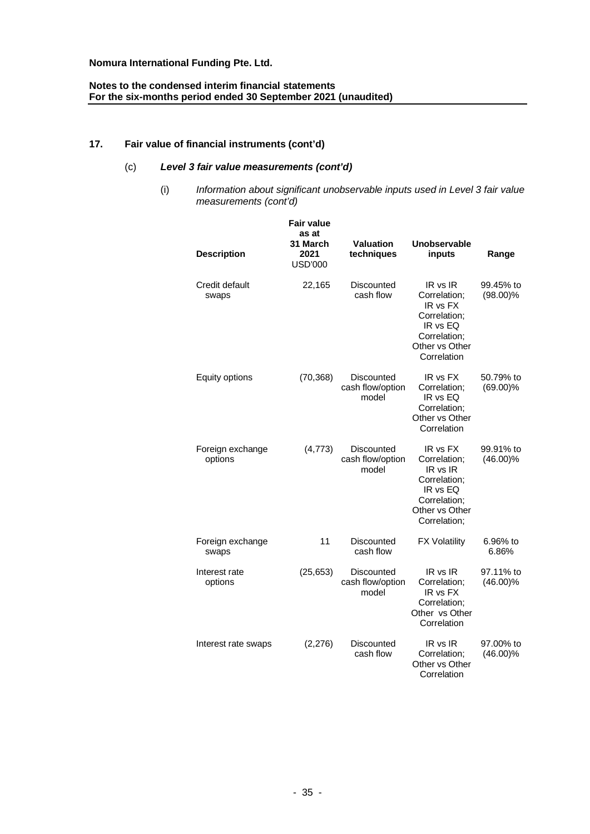# **Notes to the condensed interim financial statements For the six-months period ended 30 September 2021 (unaudited)**

# **17. Fair value of financial instruments (cont'd)**

# (c) *Level 3 fair value measurements (cont'd)*

(i) *Information about significant unobservable inputs used in Level 3 fair value measurements (cont'd)*

| <b>Description</b>          | <b>Fair value</b><br>as at<br>31 March<br>2021<br><b>USD'000</b> | <b>Valuation</b><br>techniques          | <b>Unobservable</b><br>inputs                                                                                      | Range                    |
|-----------------------------|------------------------------------------------------------------|-----------------------------------------|--------------------------------------------------------------------------------------------------------------------|--------------------------|
| Credit default<br>swaps     | 22,165                                                           | Discounted<br>cash flow                 | IR vs IR<br>Correlation;<br>IR vs FX<br>Correlation;<br>IR vs EQ<br>Correlation;<br>Other vs Other<br>Correlation  | 99.45% to<br>$(98.00)\%$ |
| Equity options              | (70, 368)                                                        | Discounted<br>cash flow/option<br>model | IR vs FX<br>Correlation;<br>IR vs EQ<br>Correlation;<br>Other vs Other<br>Correlation                              | 50.79% to<br>$(69.00)\%$ |
| Foreign exchange<br>options | (4,773)                                                          | Discounted<br>cash flow/option<br>model | IR vs FX<br>Correlation;<br>IR vs IR<br>Correlation:<br>IR vs EQ<br>Correlation;<br>Other vs Other<br>Correlation; | 99.91% to<br>$(46.00)\%$ |
| Foreign exchange<br>swaps   | 11                                                               | Discounted<br>cash flow                 | <b>FX Volatility</b>                                                                                               | 6.96% to<br>6.86%        |
| Interest rate<br>options    | (25, 653)                                                        | Discounted<br>cash flow/option<br>model | IR vs IR<br>Correlation;<br>IR vs FX<br>Correlation;<br>Other vs Other<br>Correlation                              | 97.11% to<br>$(46.00)\%$ |
| Interest rate swaps         | (2,276)                                                          | Discounted<br>cash flow                 | IR vs IR<br>Correlation:<br>Other vs Other<br>Correlation                                                          | 97.00% to<br>$(46.00)\%$ |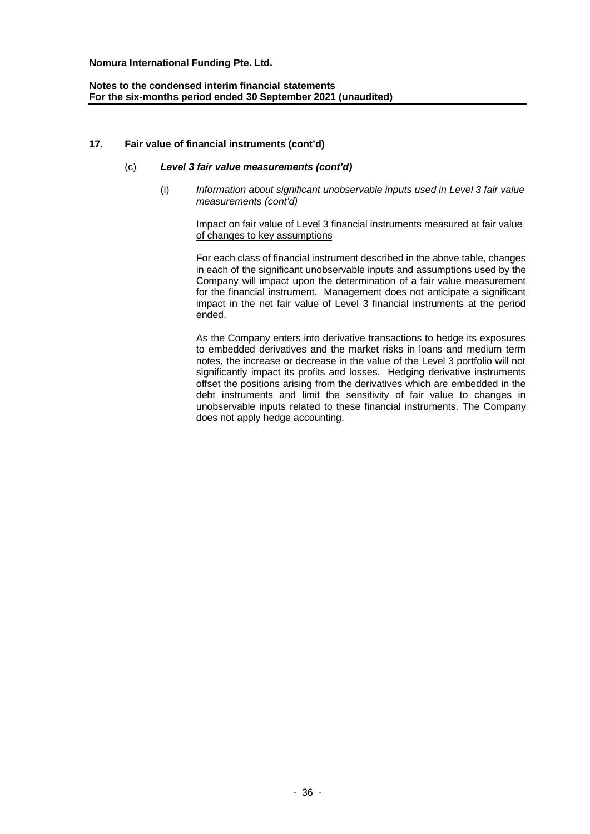# **Notes to the condensed interim financial statements For the six-months period ended 30 September 2021 (unaudited)**

### **17. Fair value of financial instruments (cont'd)**

### (c) *Level 3 fair value measurements (cont'd)*

(i) *Information about significant unobservable inputs used in Level 3 fair value measurements (cont'd)*

#### Impact on fair value of Level 3 financial instruments measured at fair value of changes to key assumptions

For each class of financial instrument described in the above table, changes in each of the significant unobservable inputs and assumptions used by the Company will impact upon the determination of a fair value measurement for the financial instrument. Management does not anticipate a significant impact in the net fair value of Level 3 financial instruments at the period ended.

As the Company enters into derivative transactions to hedge its exposures to embedded derivatives and the market risks in loans and medium term notes, the increase or decrease in the value of the Level 3 portfolio will not significantly impact its profits and losses. Hedging derivative instruments offset the positions arising from the derivatives which are embedded in the debt instruments and limit the sensitivity of fair value to changes in unobservable inputs related to these financial instruments. The Company does not apply hedge accounting.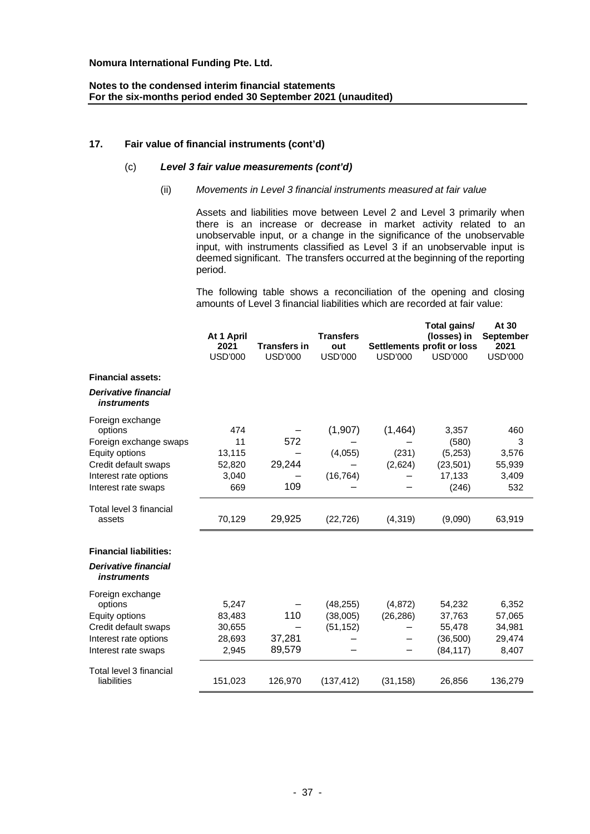# **17. Fair value of financial instruments (cont'd)**

# (c) *Level 3 fair value measurements (cont'd)*

### (ii) *Movements in Level 3 financial instruments measured at fair value*

Assets and liabilities move between Level 2 and Level 3 primarily when there is an increase or decrease in market activity related to an unobservable input, or a change in the significance of the unobservable input, with instruments classified as Level 3 if an unobservable input is deemed significant. The transfers occurred at the beginning of the reporting period.

The following table shows a reconciliation of the opening and closing amounts of Level 3 financial liabilities which are recorded at fair value:

**At 30**

|                                                   |                    |                     |                         |                | Total gains/                              | At 30                    |
|---------------------------------------------------|--------------------|---------------------|-------------------------|----------------|-------------------------------------------|--------------------------|
|                                                   | At 1 April<br>2021 | <b>Transfers in</b> | <b>Transfers</b><br>out |                | (losses) in<br>Settlements profit or loss | <b>September</b><br>2021 |
|                                                   | <b>USD'000</b>     | <b>USD'000</b>      | <b>USD'000</b>          | <b>USD'000</b> | <b>USD'000</b>                            | <b>USD'000</b>           |
| <b>Financial assets:</b>                          |                    |                     |                         |                |                                           |                          |
| <b>Derivative financial</b><br><i>instruments</i> |                    |                     |                         |                |                                           |                          |
| Foreign exchange                                  |                    |                     |                         |                |                                           |                          |
| options                                           | 474                |                     | (1,907)                 | (1, 464)       | 3,357                                     | 460                      |
| Foreign exchange swaps                            | 11                 | 572                 |                         |                | (580)                                     | 3                        |
| Equity options                                    | 13,115             |                     | (4,055)                 | (231)          | (5, 253)                                  | 3,576                    |
| Credit default swaps                              | 52,820             | 29,244              |                         | (2,624)        | (23, 501)                                 | 55,939                   |
| Interest rate options                             | 3,040              |                     | (16, 764)               |                | 17,133                                    | 3,409                    |
| Interest rate swaps                               | 669                | 109                 |                         |                | (246)                                     | 532                      |
| Total level 3 financial<br>assets                 | 70,129             | 29,925              | (22, 726)               | (4, 319)       | (9,090)                                   | 63,919                   |
| <b>Financial liabilities:</b>                     |                    |                     |                         |                |                                           |                          |
| <b>Derivative financial</b><br><i>instruments</i> |                    |                     |                         |                |                                           |                          |
| Foreign exchange                                  |                    |                     |                         |                |                                           |                          |
| options                                           | 5,247              |                     | (48, 255)               | (4, 872)       | 54,232                                    | 6,352                    |
| Equity options                                    | 83,483             | 110                 | (38,005)                | (26, 286)      | 37,763                                    | 57,065                   |
| Credit default swaps                              | 30,655             |                     | (51, 152)               |                | 55,478                                    | 34,981                   |
| Interest rate options                             | 28,693             | 37,281              |                         |                | (36, 500)                                 | 29,474                   |
| Interest rate swaps                               | 2,945              | 89,579              |                         |                | (84, 117)                                 | 8,407                    |
| Total level 3 financial                           |                    |                     |                         |                |                                           |                          |
| liabilities                                       | 151,023            | 126,970             | (137, 412)              | (31, 158)      | 26,856                                    | 136,279                  |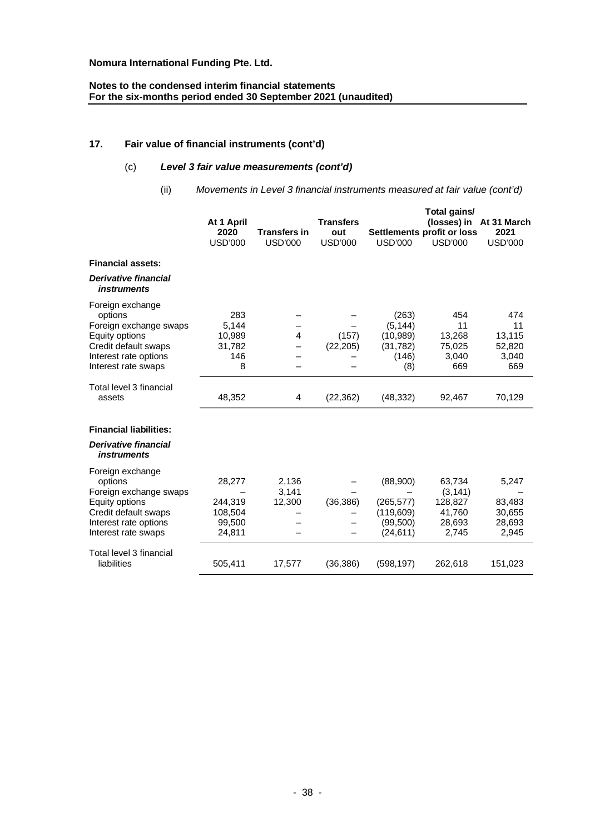# **Notes to the condensed interim financial statements For the six-months period ended 30 September 2021 (unaudited)**

# **17. Fair value of financial instruments (cont'd)**

# (c) *Level 3 fair value measurements (cont'd)*

(ii) *Movements in Level 3 financial instruments measured at fair value (cont'd)*

|                                                                                                                                                 | At 1 April<br>2020<br><b>USD'000</b>             | <b>Transfers in</b><br><b>USD'000</b> | <b>Transfers</b><br>out<br><b>USD'000</b> | <b>USD'000</b>                                               | Total gains/<br>Settlements profit or loss<br><b>USD'000</b> | (losses) in At 31 March<br>2021<br><b>USD'000</b> |
|-------------------------------------------------------------------------------------------------------------------------------------------------|--------------------------------------------------|---------------------------------------|-------------------------------------------|--------------------------------------------------------------|--------------------------------------------------------------|---------------------------------------------------|
| <b>Financial assets:</b>                                                                                                                        |                                                  |                                       |                                           |                                                              |                                                              |                                                   |
| Derivative financial<br><i>instruments</i>                                                                                                      |                                                  |                                       |                                           |                                                              |                                                              |                                                   |
| Foreign exchange<br>options<br>Foreign exchange swaps<br>Equity options<br>Credit default swaps<br>Interest rate options<br>Interest rate swaps | 283<br>5.144<br>10,989<br>31,782<br>146<br>8     | 4                                     | (157)<br>(22, 205)                        | (263)<br>(5, 144)<br>(10,989)<br>(31, 782)<br>(146)<br>(8)   | 454<br>11<br>13,268<br>75,025<br>3,040<br>669                | 474<br>11<br>13,115<br>52,820<br>3,040<br>669     |
| Total level 3 financial<br>assets                                                                                                               | 48,352                                           | 4                                     | (22, 362)                                 | (48, 332)                                                    | 92,467                                                       | 70,129                                            |
| <b>Financial liabilities:</b>                                                                                                                   |                                                  |                                       |                                           |                                                              |                                                              |                                                   |
| <b>Derivative financial</b><br><i>instruments</i>                                                                                               |                                                  |                                       |                                           |                                                              |                                                              |                                                   |
| Foreign exchange<br>options<br>Foreign exchange swaps<br>Equity options<br>Credit default swaps<br>Interest rate options<br>Interest rate swaps | 28,277<br>244,319<br>108,504<br>99,500<br>24,811 | 2,136<br>3,141<br>12,300              | (36, 386)                                 | (88,900)<br>(265,577)<br>(119,609)<br>(99, 500)<br>(24, 611) | 63,734<br>(3, 141)<br>128,827<br>41,760<br>28,693<br>2,745   | 5,247<br>83,483<br>30,655<br>28,693<br>2,945      |
| Total level 3 financial<br>liabilities                                                                                                          | 505,411                                          | 17,577                                | (36, 386)                                 | (598, 197)                                                   | 262,618                                                      | 151,023                                           |